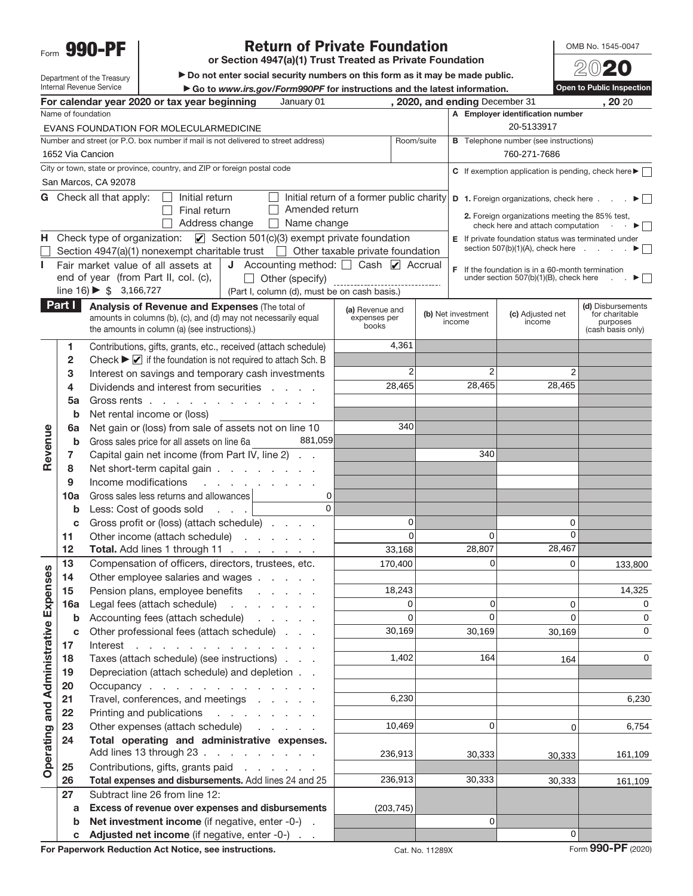Form **990-PF**

## **Return of Private Foundation**

**or Section 4947(a)(1) Trust Treated as Private Foundation**

 $\blacktriangleright$  Do not enter social security numbers on this form as it may be made public. ▶ Go to *www.irs.gov/Form990PF* for instructions and the latest information.

OMB No. 1545-0047 20**20**

**Open to Public Inspection**

Department of the Treasury Internal Revenue Service

| January 01<br>, 2020, and ending December 31<br>, 20 20<br>For calendar year 2020 or tax year beginning |                                                                                                                                                 |                                                                                                                  |                                                        |                                           |                 |                    |                                                                         |                                     |
|---------------------------------------------------------------------------------------------------------|-------------------------------------------------------------------------------------------------------------------------------------------------|------------------------------------------------------------------------------------------------------------------|--------------------------------------------------------|-------------------------------------------|-----------------|--------------------|-------------------------------------------------------------------------|-------------------------------------|
| Name of foundation<br>A Employer identification number                                                  |                                                                                                                                                 |                                                                                                                  |                                                        |                                           |                 |                    |                                                                         |                                     |
|                                                                                                         | 20-5133917<br>EVANS FOUNDATION FOR MOLECULARMEDICINE                                                                                            |                                                                                                                  |                                                        |                                           |                 |                    |                                                                         |                                     |
|                                                                                                         | Number and street (or P.O. box number if mail is not delivered to street address)<br>Room/suite<br><b>B</b> Telephone number (see instructions) |                                                                                                                  |                                                        |                                           |                 |                    |                                                                         |                                     |
|                                                                                                         |                                                                                                                                                 | 1652 Via Cancion                                                                                                 |                                                        |                                           |                 |                    | 760-271-7686                                                            |                                     |
|                                                                                                         |                                                                                                                                                 | City or town, state or province, country, and ZIP or foreign postal code                                         |                                                        |                                           |                 |                    | C If exemption application is pending, check here $\blacktriangleright$ |                                     |
|                                                                                                         |                                                                                                                                                 | San Marcos, CA 92078                                                                                             |                                                        |                                           |                 |                    |                                                                         |                                     |
|                                                                                                         |                                                                                                                                                 | <b>G</b> Check all that apply:<br>Initial return                                                                 |                                                        | Initial return of a former public charity |                 |                    | <b>D</b> 1. Foreign organizations, check here                           |                                     |
|                                                                                                         |                                                                                                                                                 | Final return                                                                                                     | Amended return                                         |                                           |                 |                    | 2. Foreign organizations meeting the 85% test,                          |                                     |
|                                                                                                         |                                                                                                                                                 | Address change                                                                                                   | $\Box$ Name change                                     |                                           |                 |                    | check here and attach computation .                                     |                                     |
| н.                                                                                                      |                                                                                                                                                 | Check type of organization: $\Box$ Section 501(c)(3) exempt private foundation                                   |                                                        |                                           |                 |                    | <b>E</b> If private foundation status was terminated under              |                                     |
|                                                                                                         |                                                                                                                                                 | Section 4947(a)(1) nonexempt charitable trust $\Box$ Other taxable private foundation                            |                                                        |                                           |                 |                    | section $507(b)(1)(A)$ , check here $\ldots$                            |                                     |
| L                                                                                                       |                                                                                                                                                 | Fair market value of all assets at                                                                               | <b>J</b> Accounting method: $\Box$ Cash $\Box$ Accrual |                                           |                 |                    | $F$ If the foundation is in a 60-month termination                      |                                     |
|                                                                                                         |                                                                                                                                                 | end of year (from Part II, col. (c),                                                                             | $\Box$ Other (specify)                                 |                                           |                 |                    | under section 507(b)(1)(B), check here                                  |                                     |
|                                                                                                         |                                                                                                                                                 | line $16$ ) $\triangleright$ \$ 3,166,727                                                                        | (Part I, column (d), must be on cash basis.)           |                                           |                 |                    |                                                                         |                                     |
|                                                                                                         | Part I                                                                                                                                          | Analysis of Revenue and Expenses (The total of                                                                   |                                                        | (a) Revenue and                           |                 | (b) Net investment | (c) Adjusted net                                                        | (d) Disbursements<br>for charitable |
|                                                                                                         |                                                                                                                                                 | amounts in columns (b), (c), and (d) may not necessarily equal<br>the amounts in column (a) (see instructions).) |                                                        | expenses per<br>books                     |                 | income             | income                                                                  | purposes                            |
|                                                                                                         |                                                                                                                                                 |                                                                                                                  |                                                        |                                           |                 |                    |                                                                         | (cash basis only)                   |
|                                                                                                         | 1.                                                                                                                                              | Contributions, gifts, grants, etc., received (attach schedule)                                                   |                                                        | 4,361                                     |                 |                    |                                                                         |                                     |
|                                                                                                         | 2                                                                                                                                               | Check $\blacktriangleright \Box$ if the foundation is not required to attach Sch. B                              |                                                        | 2                                         |                 | 2                  | $\overline{2}$                                                          |                                     |
|                                                                                                         | 3                                                                                                                                               | Interest on savings and temporary cash investments                                                               |                                                        |                                           |                 | 28,465             | 28,465                                                                  |                                     |
|                                                                                                         | 4                                                                                                                                               | Dividends and interest from securities                                                                           | <b>Carl Corporation</b>                                | 28,465                                    |                 |                    |                                                                         |                                     |
|                                                                                                         | 5a                                                                                                                                              | Gross rents                                                                                                      |                                                        |                                           |                 |                    |                                                                         |                                     |
|                                                                                                         | b                                                                                                                                               | Net rental income or (loss)<br>Net gain or (loss) from sale of assets not on line 10                             |                                                        | 340                                       |                 |                    |                                                                         |                                     |
|                                                                                                         | 6a                                                                                                                                              | Gross sales price for all assets on line 6a                                                                      | 881,059                                                |                                           |                 |                    |                                                                         |                                     |
| Revenue                                                                                                 | $\mathbf b$<br>7                                                                                                                                | Capital gain net income (from Part IV, line 2)                                                                   |                                                        |                                           |                 | 340                |                                                                         |                                     |
|                                                                                                         | 8                                                                                                                                               | Net short-term capital gain                                                                                      |                                                        |                                           |                 |                    |                                                                         |                                     |
|                                                                                                         | 9                                                                                                                                               | Income modifications                                                                                             | and a straight and a straight and                      |                                           |                 |                    |                                                                         |                                     |
|                                                                                                         | 10a                                                                                                                                             | Gross sales less returns and allowances                                                                          | $\Omega$                                               |                                           |                 |                    |                                                                         |                                     |
|                                                                                                         | b                                                                                                                                               | Less: Cost of goods sold                                                                                         | $\Omega$                                               |                                           |                 |                    |                                                                         |                                     |
|                                                                                                         | C                                                                                                                                               | Gross profit or (loss) (attach schedule)                                                                         |                                                        | $\overline{0}$                            |                 |                    | 0                                                                       |                                     |
|                                                                                                         | 11                                                                                                                                              | Other income (attach schedule)                                                                                   |                                                        | 0                                         |                 | $\Omega$           | $\Omega$                                                                |                                     |
|                                                                                                         | 12                                                                                                                                              | Total. Add lines 1 through 11                                                                                    |                                                        | 33,168                                    |                 | 28,807             | 28,467                                                                  |                                     |
|                                                                                                         | 13                                                                                                                                              | Compensation of officers, directors, trustees, etc.                                                              |                                                        | 170,400                                   |                 | $\Omega$           | 0                                                                       | 133,800                             |
| penses                                                                                                  | 14                                                                                                                                              | Other employee salaries and wages                                                                                |                                                        |                                           |                 |                    |                                                                         |                                     |
|                                                                                                         | 15                                                                                                                                              | Pension plans, employee benefits                                                                                 | and the company of the company of                      | 18,243                                    |                 |                    |                                                                         | 14,325                              |
|                                                                                                         | 16a                                                                                                                                             | Legal fees (attach schedule)                                                                                     | .                                                      | $\Omega$                                  |                 | Ωl                 | $\overline{0}$                                                          | 0                                   |
| û                                                                                                       | b                                                                                                                                               | Accounting fees (attach schedule)                                                                                |                                                        | $\Omega$                                  |                 | $\Omega$           | $\Omega$                                                                | 0                                   |
|                                                                                                         | c                                                                                                                                               | Other professional fees (attach schedule)                                                                        |                                                        | 30,169                                    |                 | 30,169             | 30,169                                                                  | 0                                   |
|                                                                                                         | 17                                                                                                                                              | Interest                                                                                                         | the contract of the contract of the contract of        |                                           |                 |                    |                                                                         |                                     |
|                                                                                                         | 18                                                                                                                                              | Taxes (attach schedule) (see instructions)                                                                       |                                                        | 1,402                                     |                 | 164                | 164                                                                     | 0                                   |
|                                                                                                         | 19                                                                                                                                              | Depreciation (attach schedule) and depletion                                                                     |                                                        |                                           |                 |                    |                                                                         |                                     |
|                                                                                                         | 20                                                                                                                                              | Occupancy                                                                                                        |                                                        |                                           |                 |                    |                                                                         |                                     |
|                                                                                                         | 21                                                                                                                                              | Travel, conferences, and meetings                                                                                |                                                        | 6,230                                     |                 |                    |                                                                         | 6,230                               |
|                                                                                                         | 22                                                                                                                                              | Printing and publications                                                                                        |                                                        |                                           |                 |                    |                                                                         |                                     |
|                                                                                                         | 23                                                                                                                                              | Other expenses (attach schedule)                                                                                 |                                                        | 10,469                                    |                 | $\Omega$           | 0                                                                       | 6,754                               |
| Operating and Administrative                                                                            | 24                                                                                                                                              | Total operating and administrative expenses.                                                                     |                                                        |                                           |                 |                    |                                                                         |                                     |
|                                                                                                         |                                                                                                                                                 | Add lines 13 through 23                                                                                          |                                                        | 236,913                                   |                 | 30,333             | 30,333                                                                  | 161,109                             |
|                                                                                                         | 25                                                                                                                                              | Contributions, gifts, grants paid                                                                                |                                                        |                                           |                 |                    |                                                                         |                                     |
|                                                                                                         | 26                                                                                                                                              | Total expenses and disbursements. Add lines 24 and 25                                                            |                                                        | 236,913                                   |                 | 30,333             | 30,333                                                                  | 161,109                             |
|                                                                                                         | 27                                                                                                                                              | Subtract line 26 from line 12:                                                                                   |                                                        |                                           |                 |                    |                                                                         |                                     |
|                                                                                                         | a                                                                                                                                               | Excess of revenue over expenses and disbursements                                                                |                                                        | (203, 745)                                |                 |                    |                                                                         |                                     |
|                                                                                                         | b                                                                                                                                               | Net investment income (if negative, enter -0-).                                                                  |                                                        |                                           |                 | 0                  | $\Omega$                                                                |                                     |
|                                                                                                         |                                                                                                                                                 | c Adjusted net income (if negative, enter -0-).                                                                  |                                                        |                                           |                 |                    |                                                                         | Form 990-PF (2020)                  |
|                                                                                                         |                                                                                                                                                 | For Paperwork Reduction Act Notice, see instructions.                                                            |                                                        |                                           | Cat. No. 11289X |                    |                                                                         |                                     |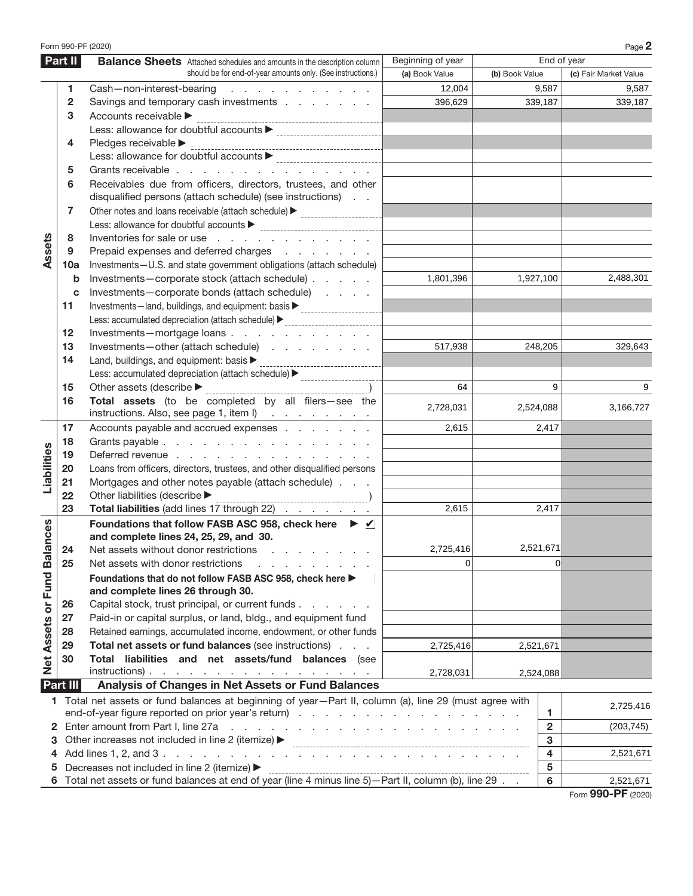|                             |              | Form 990-PF (2020)                                                                                                         |                   |                |                         | Page 2                |
|-----------------------------|--------------|----------------------------------------------------------------------------------------------------------------------------|-------------------|----------------|-------------------------|-----------------------|
|                             | Part II      | <b>Balance Sheets</b> Attached schedules and amounts in the description column                                             | Beginning of year |                |                         | End of year           |
|                             |              | should be for end-of-year amounts only. (See instructions.)                                                                | (a) Book Value    | (b) Book Value |                         | (c) Fair Market Value |
|                             | 1            | Cash-non-interest-bearing<br>the contract of the contract of the con-                                                      | 12,004            |                | 9,587                   | 9,587                 |
|                             | $\mathbf{2}$ | Savings and temporary cash investments                                                                                     | 396,629           |                | 339,187                 | 339,187               |
|                             | 3            | Accounts receivable >                                                                                                      |                   |                |                         |                       |
|                             |              |                                                                                                                            |                   |                |                         |                       |
|                             | 4            | Pledges receivable                                                                                                         |                   |                |                         |                       |
|                             |              |                                                                                                                            |                   |                |                         |                       |
|                             | 5            | Grants receivable                                                                                                          |                   |                |                         |                       |
|                             | 6            | Receivables due from officers, directors, trustees, and other<br>disqualified persons (attach schedule) (see instructions) |                   |                |                         |                       |
|                             | 7            | Other notes and loans receivable (attach schedule) > ___________________________                                           |                   |                |                         |                       |
|                             |              |                                                                                                                            |                   |                |                         |                       |
|                             | 8            | Inventories for sale or use                                                                                                |                   |                |                         |                       |
| Assets                      | 9            |                                                                                                                            |                   |                |                         |                       |
|                             |              | Prepaid expenses and deferred charges                                                                                      |                   |                |                         |                       |
|                             | 10a          | Investments-U.S. and state government obligations (attach schedule)                                                        | 1,801,396         |                | 1,927,100               | 2,488,301             |
|                             | b            | Investments-corporate stock (attach schedule)                                                                              |                   |                |                         |                       |
|                             | c            | Investments-corporate bonds (attach schedule)                                                                              |                   |                |                         |                       |
|                             | 11           | Investments-land, buildings, and equipment: basis<br>                                                                      |                   |                |                         |                       |
|                             |              |                                                                                                                            |                   |                |                         |                       |
|                             | 12           | Investments-mortgage loans                                                                                                 |                   |                |                         |                       |
|                             | 13           | Investments-other (attach schedule)                                                                                        | 517,938           |                | 248,205                 | 329,643               |
|                             | 14           | Land, buildings, and equipment: basis ><br>--------------------------                                                      |                   |                |                         |                       |
|                             |              | Less: accumulated depreciation (attach schedule) > _____________________________                                           |                   |                |                         |                       |
|                             | 15           | Other assets (describe $\blacktriangleright$ ____                                                                          | 64                |                | 9                       | 9                     |
|                             | 16           | Total assets (to be completed by all filers-see the<br>instructions. Also, see page 1, item I)                             | 2,728,031         |                | 2,524,088               | 3,166,727             |
|                             | 17           | Accounts payable and accrued expenses                                                                                      | 2.615             |                | 2,417                   |                       |
|                             | 18           | Grants payable                                                                                                             |                   |                |                         |                       |
| Liabilities                 | 19           | Deferred revenue                                                                                                           |                   |                |                         |                       |
|                             | 20           | Loans from officers, directors, trustees, and other disqualified persons                                                   |                   |                |                         |                       |
|                             | 21           | Mortgages and other notes payable (attach schedule)                                                                        |                   |                |                         |                       |
|                             | 22           | Other liabilities (describe $\blacktriangleright$                                                                          |                   |                |                         |                       |
|                             | 23           | Total liabilities (add lines 17 through 22)                                                                                | 2,615             |                | 2,417                   |                       |
|                             |              | Foundations that follow FASB ASC 958, check here ▶ √<br>and complete lines 24, 25, 29, and 30.                             |                   |                |                         |                       |
|                             | 24           | Net assets without donor restrictions                                                                                      | 2,725,416         |                | 2,521,671               |                       |
|                             | 25           | Net assets with donor restrictions                                                                                         | $\Omega$          |                | $\Omega$                |                       |
|                             |              | Foundations that do not follow FASB ASC 958, check here ▶                                                                  |                   |                |                         |                       |
| Net Assets or Fund Balances |              | and complete lines 26 through 30.                                                                                          |                   |                |                         |                       |
|                             | 26           | Capital stock, trust principal, or current funds.<br>and a state of                                                        |                   |                |                         |                       |
|                             | 27           | Paid-in or capital surplus, or land, bldg., and equipment fund                                                             |                   |                |                         |                       |
|                             | 28           | Retained earnings, accumulated income, endowment, or other funds                                                           |                   |                |                         |                       |
|                             | 29           | Total net assets or fund balances (see instructions)                                                                       | 2,725,416         |                | 2,521,671               |                       |
|                             | 30           | Total liabilities and net assets/fund balances (see                                                                        |                   |                |                         |                       |
|                             |              | $instructions)$ .                                                                                                          | 2,728,031         |                | 2,524,088               |                       |
|                             | Part III     | Analysis of Changes in Net Assets or Fund Balances                                                                         |                   |                |                         |                       |
|                             |              | 1 Total net assets or fund balances at beginning of year-Part II, column (a), line 29 (must agree with                     |                   |                |                         | 2,725,416             |
|                             |              |                                                                                                                            |                   |                | 1                       |                       |
| 2                           |              | Enter amount from Part I, line 27a<br>and the companion of the companion of the companion of the companion                 |                   |                | $\overline{\mathbf{2}}$ | (203, 745)            |
| 3                           |              | Other increases not included in line 2 (itemize) ▶                                                                         |                   |                | 3                       |                       |
| 4                           |              |                                                                                                                            |                   |                | $\overline{\mathbf{4}}$ | 2,521,671             |
| 5                           |              | Decreases not included in line 2 (itemize) ▶                                                                               |                   |                | ${\bf 5}$               |                       |
|                             |              |                                                                                                                            |                   |                | 6                       | 2,521,671             |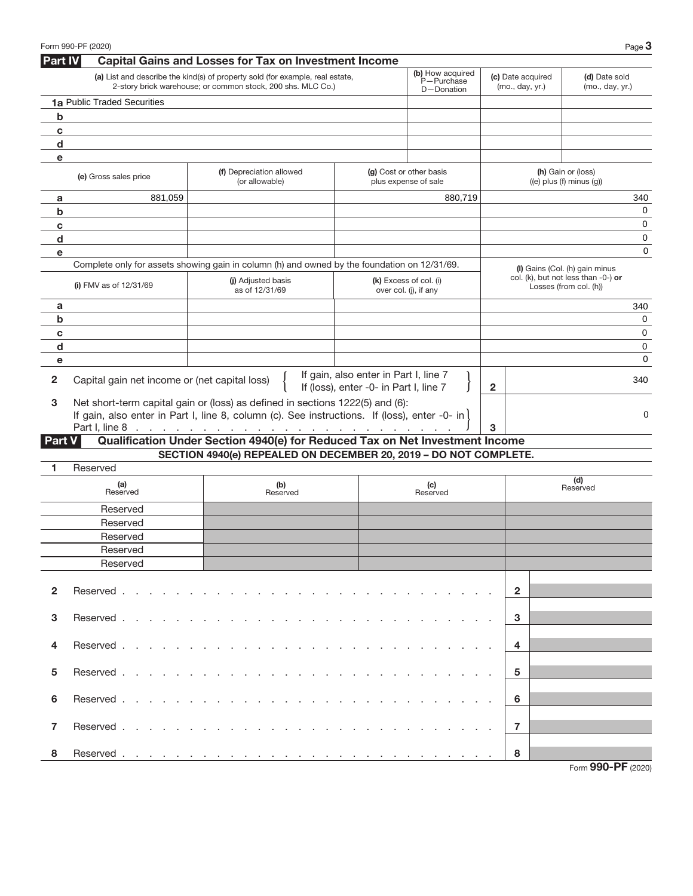|                | Form 990-PF (2020)                            |                                                                                                                                                                                                                                |                                        |                                                 |                                      | Page 3                                                        |
|----------------|-----------------------------------------------|--------------------------------------------------------------------------------------------------------------------------------------------------------------------------------------------------------------------------------|----------------------------------------|-------------------------------------------------|--------------------------------------|---------------------------------------------------------------|
| <b>Part IV</b> |                                               | <b>Capital Gains and Losses for Tax on Investment Income</b>                                                                                                                                                                   |                                        |                                                 |                                      |                                                               |
|                |                                               | (a) List and describe the kind(s) of property sold (for example, real estate,<br>2-story brick warehouse; or common stock, 200 shs. MLC Co.)                                                                                   |                                        | (b) How acquired<br>P-Purchase<br>D-Donation    | (c) Date acquired<br>(mo., day, yr.) | (d) Date sold<br>(mo., day, yr.)                              |
|                | 1a Public Traded Securities                   |                                                                                                                                                                                                                                |                                        |                                                 |                                      |                                                               |
| b              |                                               |                                                                                                                                                                                                                                |                                        |                                                 |                                      |                                                               |
| c              |                                               |                                                                                                                                                                                                                                |                                        |                                                 |                                      |                                                               |
| d              |                                               |                                                                                                                                                                                                                                |                                        |                                                 |                                      |                                                               |
| е              |                                               |                                                                                                                                                                                                                                |                                        |                                                 |                                      |                                                               |
|                | (e) Gross sales price                         | (f) Depreciation allowed<br>(or allowable)                                                                                                                                                                                     |                                        | (g) Cost or other basis<br>plus expense of sale |                                      | (h) Gain or (loss)<br>$((e)$ plus $(f)$ minus $(g)$           |
| a              | 881.059                                       |                                                                                                                                                                                                                                |                                        | 880.719                                         |                                      | 340                                                           |
| b              |                                               |                                                                                                                                                                                                                                |                                        |                                                 |                                      | 0                                                             |
| c              |                                               |                                                                                                                                                                                                                                |                                        |                                                 |                                      | 0                                                             |
| d              |                                               |                                                                                                                                                                                                                                |                                        |                                                 |                                      | 0                                                             |
| e              |                                               |                                                                                                                                                                                                                                |                                        |                                                 |                                      | $\mathbf 0$                                                   |
|                |                                               | Complete only for assets showing gain in column (h) and owned by the foundation on 12/31/69.                                                                                                                                   |                                        |                                                 |                                      | (I) Gains (Col. (h) gain minus                                |
|                | (i) FMV as of $12/31/69$                      | (i) Adjusted basis<br>as of 12/31/69                                                                                                                                                                                           |                                        | (k) Excess of col. (i)<br>over col. (j), if any |                                      | col. (k), but not less than -0-) or<br>Losses (from col. (h)) |
| a              |                                               |                                                                                                                                                                                                                                |                                        |                                                 |                                      | 340                                                           |
| b              |                                               |                                                                                                                                                                                                                                |                                        |                                                 |                                      | 0                                                             |
| c              |                                               |                                                                                                                                                                                                                                |                                        |                                                 |                                      | 0                                                             |
| $\mathbf d$    |                                               |                                                                                                                                                                                                                                |                                        |                                                 |                                      | 0                                                             |
| e              |                                               |                                                                                                                                                                                                                                |                                        |                                                 |                                      | 0                                                             |
| $\mathbf{2}$   | Capital gain net income or (net capital loss) |                                                                                                                                                                                                                                | If gain, also enter in Part I, line 7  |                                                 |                                      | 340                                                           |
|                |                                               |                                                                                                                                                                                                                                | If (loss), enter -0- in Part I, line 7 |                                                 | $\mathbf{2}$                         |                                                               |
| 3              |                                               | Net short-term capital gain or (loss) as defined in sections 1222(5) and (6):                                                                                                                                                  |                                        |                                                 |                                      | 0                                                             |
|                |                                               | If gain, also enter in Part I, line 8, column (c). See instructions. If (loss), enter -0- in $\vert$                                                                                                                           |                                        |                                                 | 3                                    |                                                               |
| <b>Part V</b>  |                                               | Qualification Under Section 4940(e) for Reduced Tax on Net Investment Income                                                                                                                                                   |                                        |                                                 |                                      |                                                               |
|                |                                               | SECTION 4940(e) REPEALED ON DECEMBER 20, 2019 - DO NOT COMPLETE.                                                                                                                                                               |                                        |                                                 |                                      |                                                               |
| 1              | Reserved                                      |                                                                                                                                                                                                                                |                                        |                                                 |                                      |                                                               |
|                | (a)                                           | (b)                                                                                                                                                                                                                            |                                        | (c)                                             |                                      | (d)                                                           |
|                | Reserved                                      | Reserved                                                                                                                                                                                                                       |                                        | Reserved                                        |                                      | Reserved                                                      |
|                | Reserved                                      |                                                                                                                                                                                                                                |                                        |                                                 |                                      |                                                               |
|                | Reserved                                      |                                                                                                                                                                                                                                |                                        |                                                 |                                      |                                                               |
|                | Reserved                                      |                                                                                                                                                                                                                                |                                        |                                                 |                                      |                                                               |
|                | Reserved                                      |                                                                                                                                                                                                                                |                                        |                                                 |                                      |                                                               |
|                | Reserved                                      |                                                                                                                                                                                                                                |                                        |                                                 |                                      |                                                               |
|                |                                               |                                                                                                                                                                                                                                |                                        |                                                 |                                      |                                                               |
| $\mathbf{2}$   | Reserved                                      | and the company of the company of the company of the company of the company of the company of the company of the company of the company of the company of the company of the company of the company of the company of the comp |                                        |                                                 | $\overline{2}$                       |                                                               |
|                |                                               |                                                                                                                                                                                                                                |                                        |                                                 |                                      |                                                               |
| 3              | Reserved                                      |                                                                                                                                                                                                                                |                                        |                                                 | 3                                    |                                                               |
|                |                                               |                                                                                                                                                                                                                                |                                        |                                                 |                                      |                                                               |
| 4              | Reserved.                                     | and a state of the state of the state of<br><b>Service</b> State                                                                                                                                                               |                                        |                                                 | 4                                    |                                                               |
|                |                                               |                                                                                                                                                                                                                                |                                        |                                                 |                                      |                                                               |
| 5              | Reserved .                                    | de la provincia de la provincia de la provincia de la                                                                                                                                                                          |                                        |                                                 | 5                                    |                                                               |
|                |                                               |                                                                                                                                                                                                                                |                                        |                                                 |                                      |                                                               |
| 6              | Reserved.                                     |                                                                                                                                                                                                                                |                                        |                                                 | 6                                    |                                                               |
|                |                                               |                                                                                                                                                                                                                                |                                        |                                                 |                                      |                                                               |
| 7              | Reserved                                      | the second contract of the second contract of the second contract of the second contract of the second contract of the second contract of the second contract of the second contract of the second contract of the second cont |                                        |                                                 | $\overline{7}$                       |                                                               |
| 8              |                                               |                                                                                                                                                                                                                                |                                        |                                                 | 8                                    |                                                               |
|                |                                               |                                                                                                                                                                                                                                |                                        |                                                 |                                      | Form 990-PF (2020)                                            |
|                |                                               |                                                                                                                                                                                                                                |                                        |                                                 |                                      |                                                               |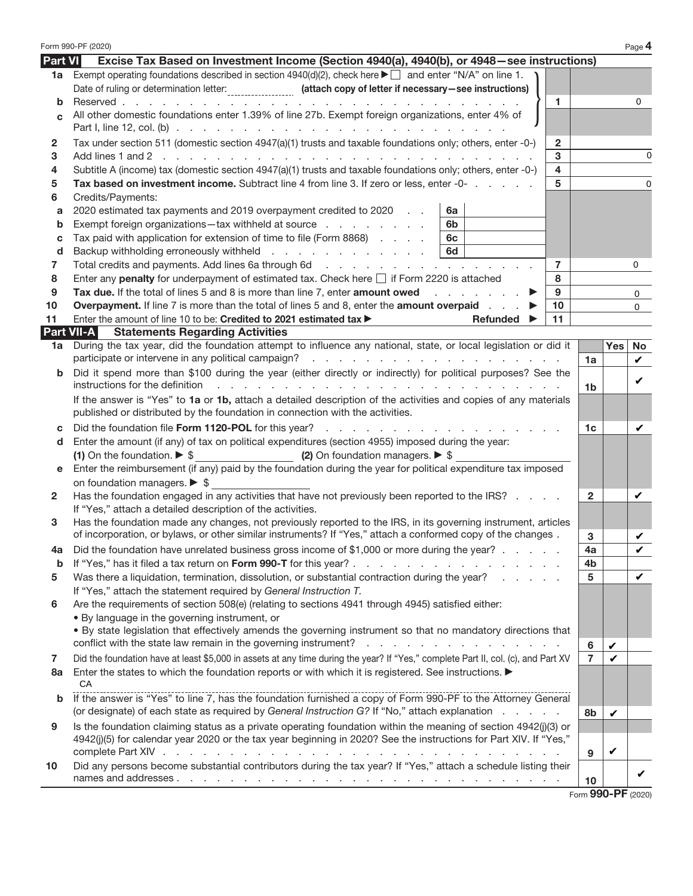|                         | Form 990-PF (2020)                                                                                                                                                                                                                   |                |            | Page 4        |  |  |
|-------------------------|--------------------------------------------------------------------------------------------------------------------------------------------------------------------------------------------------------------------------------------|----------------|------------|---------------|--|--|
| <b>Part VI</b>          | Excise Tax Based on Investment Income (Section 4940(a), 4940(b), or 4948–see instructions)                                                                                                                                           |                |            |               |  |  |
| 1a                      | Exempt operating foundations described in section $4940(d)(2)$ , check here $\blacktriangleright \Box$ and enter "N/A" on line 1.                                                                                                    |                |            |               |  |  |
|                         | Date of ruling or determination letter: __________________ (attach copy of letter if necessary-see instructions)                                                                                                                     |                |            |               |  |  |
| b                       | $\mathbf{1}$<br>Reserved<br>and a series of the contract of the contract of the                                                                                                                                                      |                |            | $\Omega$      |  |  |
| C                       | All other domestic foundations enter 1.39% of line 27b. Exempt foreign organizations, enter 4% of                                                                                                                                    |                |            |               |  |  |
|                         |                                                                                                                                                                                                                                      |                |            |               |  |  |
| $\mathbf{2}$            | Tax under section 511 (domestic section 4947(a)(1) trusts and taxable foundations only; others, enter -0-)<br>$\overline{2}$                                                                                                         |                |            |               |  |  |
| 3                       | 3                                                                                                                                                                                                                                    |                |            | 0             |  |  |
| 4                       | $\overline{\mathbf{4}}$<br>Subtitle A (income) tax (domestic section 4947(a)(1) trusts and taxable foundations only; others, enter -0-)                                                                                              |                |            |               |  |  |
| 5                       | Tax based on investment income. Subtract line 4 from line 3. If zero or less, enter -0-<br>5                                                                                                                                         |                |            | 0             |  |  |
| 6                       | Credits/Payments:                                                                                                                                                                                                                    |                |            |               |  |  |
| a                       | 2020 estimated tax payments and 2019 overpayment credited to 2020<br>6a                                                                                                                                                              |                |            |               |  |  |
| b                       | Exempt foreign organizations-tax withheld at source<br>6b                                                                                                                                                                            |                |            |               |  |  |
| С                       | Tax paid with application for extension of time to file (Form 8868)<br>6с                                                                                                                                                            |                |            |               |  |  |
| d                       | Backup withholding erroneously withheld<br>6d                                                                                                                                                                                        |                |            |               |  |  |
| 7                       | $\overline{7}$                                                                                                                                                                                                                       |                |            | 0             |  |  |
| 8                       | Enter any penalty for underpayment of estimated tax. Check here $\Box$ if Form 2220 is attached<br>8                                                                                                                                 |                |            |               |  |  |
| 9                       | Tax due. If the total of lines 5 and 8 is more than line 7, enter amount owed<br>9                                                                                                                                                   |                |            | 0             |  |  |
| 10                      | <b>Overpayment.</b> If line 7 is more than the total of lines 5 and 8, enter the <b>amount overpaid</b><br>10                                                                                                                        |                |            | 0             |  |  |
| 11                      | Enter the amount of line 10 to be: Credited to 2021 estimated tax ><br>11<br>Refunded $\blacktriangleright$                                                                                                                          |                |            |               |  |  |
| <b>Part VII-A</b><br>1a | <b>Statements Regarding Activities</b><br>During the tax year, did the foundation attempt to influence any national, state, or local legislation or did it                                                                           |                | <b>Yes</b> | No            |  |  |
|                         |                                                                                                                                                                                                                                      | 1a             |            |               |  |  |
| b                       | Did it spend more than \$100 during the year (either directly or indirectly) for political purposes? See the                                                                                                                         |                |            | $\mathcal{L}$ |  |  |
|                         | instructions for the definition<br>and a construction of the construction of the construction of the construction of                                                                                                                 | 1 <sub>b</sub> |            | v             |  |  |
|                         | If the answer is "Yes" to 1a or 1b, attach a detailed description of the activities and copies of any materials<br>published or distributed by the foundation in connection with the activities.                                     |                |            |               |  |  |
| С                       | Did the foundation file Form 1120-POL for this year?                                                                                                                                                                                 |                |            |               |  |  |
| d                       | Enter the amount (if any) of tax on political expenditures (section 4955) imposed during the year:                                                                                                                                   |                |            |               |  |  |
|                         | (2) On foundation managers. $\triangleright$ \$<br>(1) On the foundation. $\triangleright$ \$                                                                                                                                        |                |            |               |  |  |
| е                       | Enter the reimbursement (if any) paid by the foundation during the year for political expenditure tax imposed                                                                                                                        |                |            |               |  |  |
|                         | on foundation managers. $\triangleright$ \$                                                                                                                                                                                          |                |            |               |  |  |
| $\mathbf{2} \cdot$      | Has the foundation engaged in any activities that have not previously been reported to the IRS?                                                                                                                                      | $\mathbf{2}$   |            |               |  |  |
| 3                       | If "Yes," attach a detailed description of the activities.<br>Has the foundation made any changes, not previously reported to the IRS, in its governing instrument, articles                                                         |                |            |               |  |  |
|                         | of incorporation, or bylaws, or other similar instruments? If "Yes," attach a conformed copy of the changes.                                                                                                                         | 3              |            | v             |  |  |
|                         | Did the foundation have unrelated business gross income of \$1,000 or more during the year?.                                                                                                                                         | 4a             |            |               |  |  |
| b                       | If "Yes," has it filed a tax return on Form 990-T for this year?.<br>and a state of the state of                                                                                                                                     | 4b             |            |               |  |  |
| 5                       | Was there a liquidation, termination, dissolution, or substantial contraction during the year?                                                                                                                                       | 5              |            | v             |  |  |
|                         | If "Yes," attach the statement required by General Instruction T.                                                                                                                                                                    |                |            |               |  |  |
| 6                       | Are the requirements of section 508(e) (relating to sections 4941 through 4945) satisfied either:                                                                                                                                    |                |            |               |  |  |
|                         | • By language in the governing instrument, or                                                                                                                                                                                        |                |            |               |  |  |
|                         | . By state legislation that effectively amends the governing instrument so that no mandatory directions that                                                                                                                         |                |            |               |  |  |
|                         | conflict with the state law remain in the governing instrument?<br>design and a state of the state of                                                                                                                                | 6              | v          |               |  |  |
| 7                       | Did the foundation have at least \$5,000 in assets at any time during the year? If "Yes," complete Part II, col. (c), and Part XV                                                                                                    | $\overline{7}$ | v          |               |  |  |
| 8а                      | Enter the states to which the foundation reports or with which it is registered. See instructions.                                                                                                                                   |                |            |               |  |  |
|                         | СA<br>If the answer is "Yes" to line 7, has the foundation furnished a copy of Form 990-PF to the Attorney General                                                                                                                   |                |            |               |  |  |
| b                       | (or designate) of each state as required by General Instruction G? If "No," attach explanation                                                                                                                                       |                |            |               |  |  |
|                         |                                                                                                                                                                                                                                      | 8b             | v          |               |  |  |
| 9                       | Is the foundation claiming status as a private operating foundation within the meaning of section 4942(j)(3) or<br>4942(j)(5) for calendar year 2020 or the tax year beginning in 2020? See the instructions for Part XIV. If "Yes," |                |            |               |  |  |
|                         | complete Part XIV .<br>and the company of the company of the company of                                                                                                                                                              | 9              | v          |               |  |  |
| 10                      | Did any persons become substantial contributors during the tax year? If "Yes," attach a schedule listing their                                                                                                                       |                |            |               |  |  |
|                         | names and addresses                                                                                                                                                                                                                  | 10             |            |               |  |  |
|                         |                                                                                                                                                                                                                                      |                |            |               |  |  |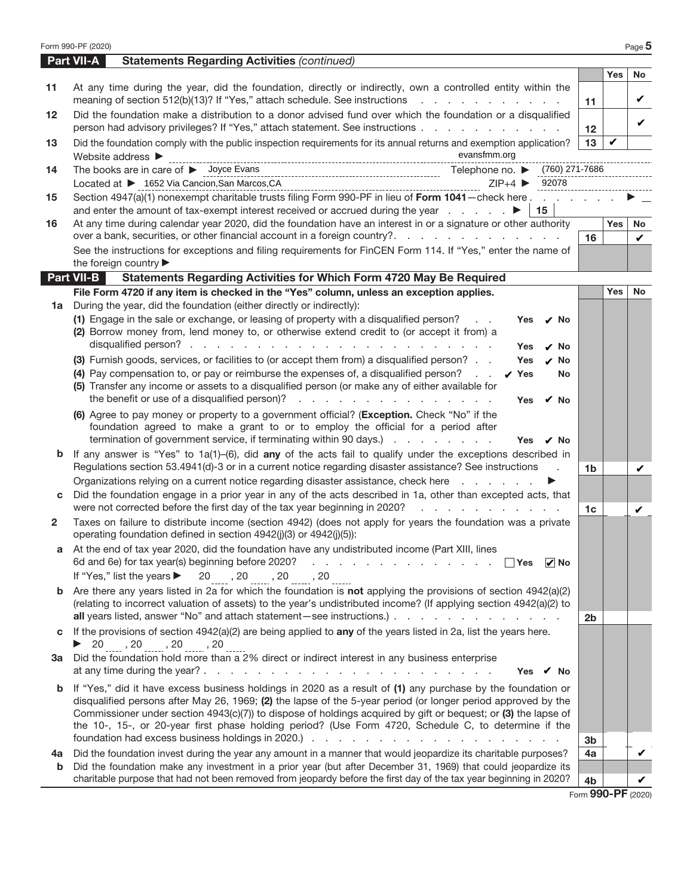|              | Form 990-PF (2020)                                                                                                                                                                                                                                                                                                                                                                                                                                              |                    |            | Page 5       |
|--------------|-----------------------------------------------------------------------------------------------------------------------------------------------------------------------------------------------------------------------------------------------------------------------------------------------------------------------------------------------------------------------------------------------------------------------------------------------------------------|--------------------|------------|--------------|
|              | <b>Part VII-A</b><br><b>Statements Regarding Activities (continued)</b>                                                                                                                                                                                                                                                                                                                                                                                         |                    |            |              |
|              |                                                                                                                                                                                                                                                                                                                                                                                                                                                                 |                    | <b>Yes</b> | No           |
| 11           | At any time during the year, did the foundation, directly or indirectly, own a controlled entity within the<br>meaning of section 512(b)(13)? If "Yes," attach schedule. See instructions                                                                                                                                                                                                                                                                       | 11                 |            | v            |
| 12           | Did the foundation make a distribution to a donor advised fund over which the foundation or a disqualified<br>person had advisory privileges? If "Yes," attach statement. See instructions                                                                                                                                                                                                                                                                      | 12 <sup>2</sup>    |            | v            |
| 13           | Did the foundation comply with the public inspection requirements for its annual returns and exemption application?<br>evansfmm.org<br>Website address ▶                                                                                                                                                                                                                                                                                                        | 13                 | ✓          |              |
| 14           | The books are in care of $\blacktriangleright$ Joyce Evans<br>Located at ▶ 1652 Via Cancion, San Marcos, CA<br>92078<br>$ZIP+4$                                                                                                                                                                                                                                                                                                                                 |                    |            |              |
| 15           | Section 4947(a)(1) nonexempt charitable trusts filing Form 990-PF in lieu of Form 1041-check here<br>15                                                                                                                                                                                                                                                                                                                                                         |                    |            |              |
| 16           | At any time during calendar year 2020, did the foundation have an interest in or a signature or other authority<br>over a bank, securities, or other financial account in a foreign country?.                                                                                                                                                                                                                                                                   |                    | <b>Yes</b> | No           |
|              | See the instructions for exceptions and filing requirements for FinCEN Form 114. If "Yes," enter the name of<br>the foreign country                                                                                                                                                                                                                                                                                                                             | 16                 |            | $\mathbf{v}$ |
|              | Part VII-B<br>Statements Regarding Activities for Which Form 4720 May Be Required                                                                                                                                                                                                                                                                                                                                                                               |                    |            |              |
|              | File Form 4720 if any item is checked in the "Yes" column, unless an exception applies.                                                                                                                                                                                                                                                                                                                                                                         |                    | <b>Yes</b> | No           |
| 1a           | During the year, did the foundation (either directly or indirectly):                                                                                                                                                                                                                                                                                                                                                                                            |                    |            |              |
|              | (1) Engage in the sale or exchange, or leasing of property with a disqualified person?<br><b>Yes</b><br>$\mathcal{L}=\mathcal{L}$ .<br>ν No<br>(2) Borrow money from, lend money to, or otherwise extend credit to (or accept it from) a<br>Yes<br>✓ No                                                                                                                                                                                                         |                    |            |              |
|              | (3) Furnish goods, services, or facilities to (or accept them from) a disqualified person?<br>$\nu$ No<br>Yes<br>(4) Pay compensation to, or pay or reimburse the expenses of, a disqualified person?<br>y Yes<br>No<br>(5) Transfer any income or assets to a disqualified person (or make any of either available for<br>the benefit or use of a disqualified person)?<br>Yes<br>✓ No                                                                         |                    |            |              |
|              | (6) Agree to pay money or property to a government official? (Exception. Check "No" if the<br>foundation agreed to make a grant to or to employ the official for a period after<br>termination of government service, if terminating within 90 days.)<br>Yes<br>.∕ No                                                                                                                                                                                           |                    |            |              |
| b            | If any answer is "Yes" to $1a(1)$ -(6), did any of the acts fail to qualify under the exceptions described in<br>Regulations section 53.4941(d)-3 or in a current notice regarding disaster assistance? See instructions<br>$\sim$                                                                                                                                                                                                                              | 1 <sub>b</sub>     |            | v            |
|              | Organizations relying on a current notice regarding disaster assistance, check here                                                                                                                                                                                                                                                                                                                                                                             |                    |            |              |
| С            | Did the foundation engage in a prior year in any of the acts described in 1a, other than excepted acts, that<br>were not corrected before the first day of the tax year beginning in 2020?<br>and the company of the company of the                                                                                                                                                                                                                             | 1 <sub>c</sub>     |            | v            |
| $\mathbf{2}$ | Taxes on failure to distribute income (section 4942) (does not apply for years the foundation was a private<br>operating foundation defined in section 4942(j)(3) or 4942(j)(5)):                                                                                                                                                                                                                                                                               |                    |            |              |
|              | a At the end of tax year 2020, did the foundation have any undistributed income (Part XIII, lines<br>6d and 6e) for tax year(s) beginning before 2020?<br>$\mathcal{L}^{\text{max}}$<br>the contract of the contract of the contract<br>∣ ∣Yes<br>$  \cdot  $ No                                                                                                                                                                                                |                    |            |              |
|              | If "Yes," list the years $\triangleright$ 20 $_{\dots}$ , 20 $_{\dots}$ , 20 $_{\dots}$ , 20                                                                                                                                                                                                                                                                                                                                                                    |                    |            |              |
| b            | Are there any years listed in 2a for which the foundation is not applying the provisions of section 4942(a)(2)<br>(relating to incorrect valuation of assets) to the year's undistributed income? (If applying section 4942(a)(2) to<br>all years listed, answer "No" and attach statement - see instructions.)                                                                                                                                                 | 2 <sub>b</sub>     |            |              |
| c            | If the provisions of section $4942(a)(2)$ are being applied to any of the years listed in 2a, list the years here.                                                                                                                                                                                                                                                                                                                                              |                    |            |              |
|              | ▶ 20 _____, 20 _____, 20 _____, 20<br>3a Did the foundation hold more than a 2% direct or indirect interest in any business enterprise<br>at any time during the year? $\ldots$ $\ldots$ $\ldots$ $\ldots$ $\ldots$ $\ldots$ $\ldots$ $\ldots$<br>Yes $\boldsymbol{v}$ No                                                                                                                                                                                       |                    |            |              |
|              | <b>b</b> If "Yes," did it have excess business holdings in 2020 as a result of (1) any purchase by the foundation or<br>disqualified persons after May 26, 1969; (2) the lapse of the 5-year period (or longer period approved by the<br>Commissioner under section 4943(c)(7)) to dispose of holdings acquired by gift or bequest; or (3) the lapse of<br>the 10-, 15-, or 20-year first phase holding period? (Use Form 4720, Schedule C, to determine if the | 3 <sub>b</sub>     |            |              |
| 4a<br>b      | Did the foundation invest during the year any amount in a manner that would jeopardize its charitable purposes?<br>Did the foundation make any investment in a prior year (but after December 31, 1969) that could jeopardize its                                                                                                                                                                                                                               | 4a                 |            | v            |
|              | charitable purpose that had not been removed from jeopardy before the first day of the tax year beginning in 2020?                                                                                                                                                                                                                                                                                                                                              | 4 <sub>b</sub>     |            | v            |
|              |                                                                                                                                                                                                                                                                                                                                                                                                                                                                 | Form 990-PF (2020) |            |              |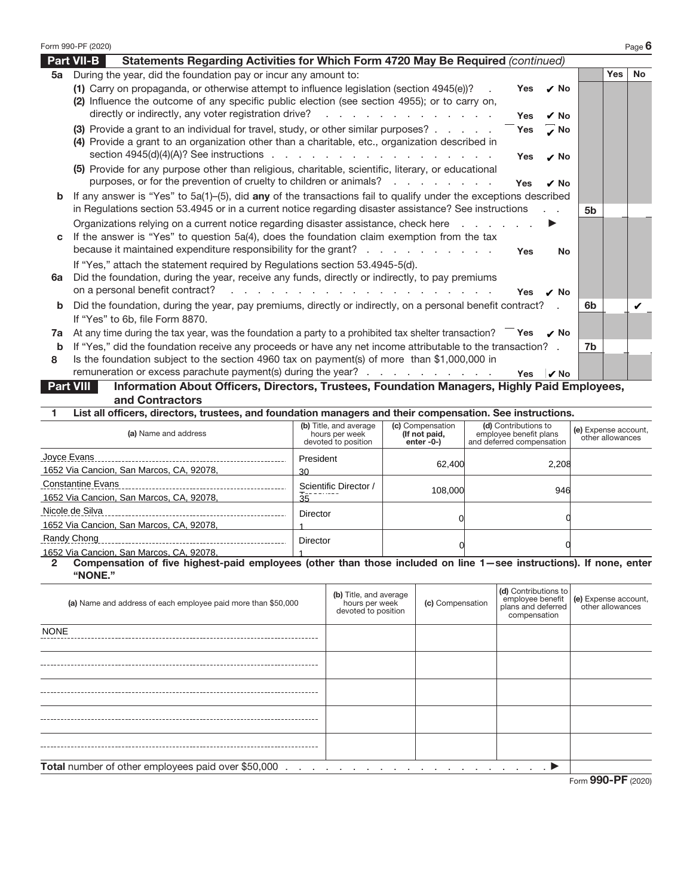|    | Form 990-PF (2020)                                                                                                                                                                                                                                                                                                                  |            |                   |           |            | Page $6$  |
|----|-------------------------------------------------------------------------------------------------------------------------------------------------------------------------------------------------------------------------------------------------------------------------------------------------------------------------------------|------------|-------------------|-----------|------------|-----------|
|    | <b>Part VII-B</b><br>Statements Regarding Activities for Which Form 4720 May Be Required (continued)                                                                                                                                                                                                                                |            |                   |           |            |           |
| 5a | During the year, did the foundation pay or incur any amount to:                                                                                                                                                                                                                                                                     |            |                   |           | <b>Yes</b> | <b>No</b> |
|    | (1) Carry on propaganda, or otherwise attempt to influence legislation (section 4945(e))?<br>(2) Influence the outcome of any specific public election (see section 4955); or to carry on,<br>directly or indirectly, any voter registration drive?                                                                                 | Yes        | $\nu$ No          |           |            |           |
|    |                                                                                                                                                                                                                                                                                                                                     | <b>Yes</b> | √ No              |           |            |           |
|    | (3) Provide a grant to an individual for travel, study, or other similar purposes?<br>(4) Provide a grant to an organization other than a charitable, etc., organization described in                                                                                                                                               | <b>Yes</b> | $\overline{v}$ No |           |            |           |
|    | (5) Provide for any purpose other than religious, charitable, scientific, literary, or educational                                                                                                                                                                                                                                  | <b>Yes</b> | $\overline{v}$ No |           |            |           |
|    | purposes, or for the prevention of cruelty to children or animals?                                                                                                                                                                                                                                                                  | <b>Yes</b> | $\nu$ No          |           |            |           |
| b  | If any answer is "Yes" to $5a(1)$ -(5), did any of the transactions fail to qualify under the exceptions described<br>in Regulations section 53.4945 or in a current notice regarding disaster assistance? See instructions                                                                                                         |            |                   | <b>5b</b> |            |           |
| c  | Organizations relying on a current notice regarding disaster assistance, check here<br>If the answer is "Yes" to question 5a(4), does the foundation claim exemption from the tax<br>because it maintained expenditure responsibility for the grant?                                                                                | <b>Yes</b> | <b>No</b>         |           |            |           |
| 6a | If "Yes," attach the statement required by Regulations section 53.4945-5(d).<br>Did the foundation, during the year, receive any funds, directly or indirectly, to pay premiums<br>on a personal benefit contract?<br>a construction of the contract of the construction of the construction of the contract of the construction of | Yes        | $\overline{v}$ No |           |            |           |
| b  | Did the foundation, during the year, pay premiums, directly or indirectly, on a personal benefit contract?<br>If "Yes" to 6b, file Form 8870.                                                                                                                                                                                       |            |                   | 6b        |            |           |
| 7a | At any time during the tax year, was the foundation a party to a prohibited tax shelter transaction? $\overline{\phantom{a}}$ Yes $\overline{\phantom{a}}$ No                                                                                                                                                                       |            |                   |           |            |           |
| b  | If "Yes," did the foundation receive any proceeds or have any net income attributable to the transaction? .                                                                                                                                                                                                                         |            |                   | 7b        |            |           |
| 8  | Is the foundation subject to the section 4960 tax on payment(s) of more than \$1,000,000 in<br>remuneration or excess parachute payment(s) during the year? $\ldots$ $\ldots$ $\ldots$ $\ldots$                                                                                                                                     | Yes        | $\nu$ No          |           |            |           |
|    | Information About Officers, Directors, Trustees, Foundation Managers, Highly Paid Employees,<br><b>Part VIII</b>                                                                                                                                                                                                                    |            |                   |           |            |           |
|    | and Contractors                                                                                                                                                                                                                                                                                                                     |            |                   |           |            |           |

**1 List all officers, directors, trustees, and foundation managers and their compensation. See instructions.**

| (a) Name and address                     | (b) Title, and average<br>hours per week<br>devoted to position | (c) Compensation<br>(If not paid,<br>enter -0-) | (d) Contributions to<br>employee benefit plans<br>and deferred compensation | (e) Expense account,<br>other allowances |
|------------------------------------------|-----------------------------------------------------------------|-------------------------------------------------|-----------------------------------------------------------------------------|------------------------------------------|
| Joyce Evans                              | President                                                       |                                                 |                                                                             |                                          |
| 1652 Via Cancion, San Marcos, CA, 92078, | 62.400<br>30                                                    |                                                 | 2.208                                                                       |                                          |
| <b>Constantine Evans</b>                 | Scientific Director /                                           |                                                 |                                                                             |                                          |
| 1652 Via Cancion, San Marcos, CA, 92078, | $T_{\text{max}} = 1.005$<br>35                                  | 108,000                                         | 946                                                                         |                                          |
| Nicole de Silva                          | <b>Director</b>                                                 |                                                 |                                                                             |                                          |
| 1652 Via Cancion, San Marcos, CA, 92078, |                                                                 |                                                 |                                                                             |                                          |
| Randy Chong                              | <b>Director</b>                                                 |                                                 |                                                                             |                                          |
| 1652 Via Cancion, San Marcos, CA, 92078, |                                                                 |                                                 |                                                                             |                                          |

## **"NONE."**

| 1652 Via Cancion, San Marcos, CA, 92078,<br>Compensation of five highest-paid employees (other than those included on line 1-see instructions). If none, enter<br>$\overline{2}$<br>"NONE." |                                                                                                  |                  |                                                                                |                                          |
|---------------------------------------------------------------------------------------------------------------------------------------------------------------------------------------------|--------------------------------------------------------------------------------------------------|------------------|--------------------------------------------------------------------------------|------------------------------------------|
| (a) Name and address of each employee paid more than \$50,000                                                                                                                               | (b) Title, and average<br>hours per week<br>devoted to position                                  | (c) Compensation | (d) Contributions to<br>employee benefit<br>plans and deferred<br>compensation | (e) Expense account,<br>other allowances |
| <b>NONE</b>                                                                                                                                                                                 |                                                                                                  |                  |                                                                                |                                          |
|                                                                                                                                                                                             |                                                                                                  |                  |                                                                                |                                          |
|                                                                                                                                                                                             |                                                                                                  |                  |                                                                                |                                          |
|                                                                                                                                                                                             |                                                                                                  |                  |                                                                                |                                          |
|                                                                                                                                                                                             |                                                                                                  |                  |                                                                                |                                          |
| <b>Total</b> number of other employees paid over \$50,000                                                                                                                                   | $\ldots$ . The contract of the contract of the contract of the contract of $\blacktriangleright$ |                  |                                                                                |                                          |
|                                                                                                                                                                                             |                                                                                                  |                  |                                                                                | Form 990-PF (2020)                       |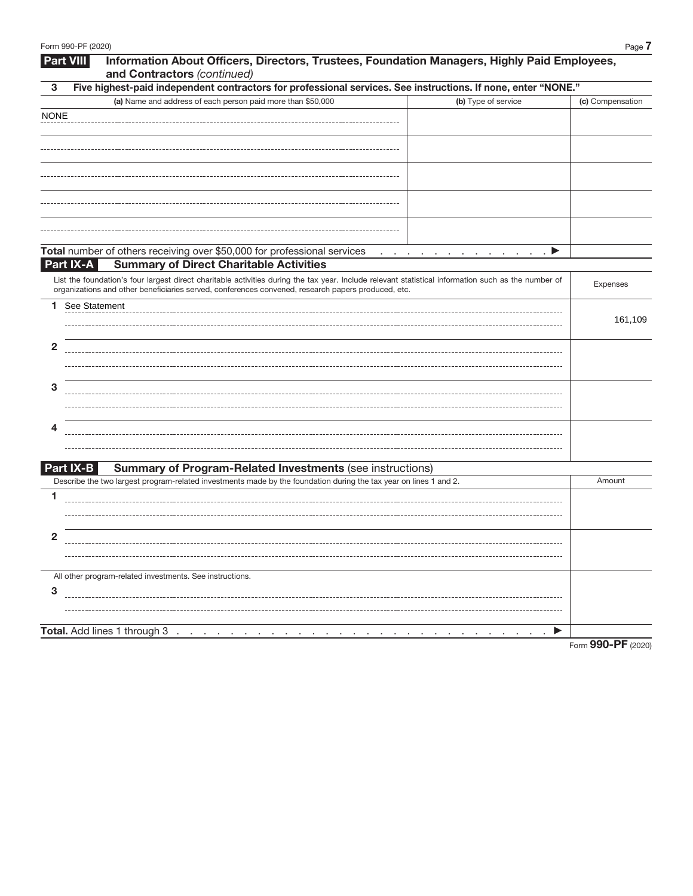|                | Information About Officers, Directors, Trustees, Foundation Managers, Highly Paid Employees,<br>Part VIII<br>and Contractors (continued)                                                                                                                  |                  |
|----------------|-----------------------------------------------------------------------------------------------------------------------------------------------------------------------------------------------------------------------------------------------------------|------------------|
| 3              | Five highest-paid independent contractors for professional services. See instructions. If none, enter "NONE."                                                                                                                                             |                  |
|                | (a) Name and address of each person paid more than \$50,000<br>(b) Type of service                                                                                                                                                                        | (c) Compensation |
| <b>NONE</b>    |                                                                                                                                                                                                                                                           |                  |
|                |                                                                                                                                                                                                                                                           |                  |
|                |                                                                                                                                                                                                                                                           |                  |
|                |                                                                                                                                                                                                                                                           |                  |
|                |                                                                                                                                                                                                                                                           |                  |
|                |                                                                                                                                                                                                                                                           |                  |
|                |                                                                                                                                                                                                                                                           |                  |
|                |                                                                                                                                                                                                                                                           |                  |
|                |                                                                                                                                                                                                                                                           |                  |
|                | Total number of others receiving over \$50,000 for professional services<br>$\cdot$ P<br>and a series of the contract of the contract of                                                                                                                  |                  |
|                | <b>Summary of Direct Charitable Activities</b><br>Part IX-A                                                                                                                                                                                               |                  |
|                | List the foundation's four largest direct charitable activities during the tax year. Include relevant statistical information such as the number of<br>organizations and other beneficiaries served, conferences convened, research papers produced, etc. | Expenses         |
| 1.             | See Statement                                                                                                                                                                                                                                             |                  |
|                |                                                                                                                                                                                                                                                           | 161,109          |
|                |                                                                                                                                                                                                                                                           |                  |
| $\overline{2}$ |                                                                                                                                                                                                                                                           |                  |
|                |                                                                                                                                                                                                                                                           |                  |
| 3              |                                                                                                                                                                                                                                                           |                  |
|                |                                                                                                                                                                                                                                                           |                  |
|                |                                                                                                                                                                                                                                                           |                  |
| 4              |                                                                                                                                                                                                                                                           |                  |
|                |                                                                                                                                                                                                                                                           |                  |
|                |                                                                                                                                                                                                                                                           |                  |
|                | <b>Summary of Program-Related Investments (see instructions)</b><br>Part IX-B                                                                                                                                                                             |                  |
|                | Describe the two largest program-related investments made by the foundation during the tax year on lines 1 and 2.                                                                                                                                         | Amount           |
| 1              |                                                                                                                                                                                                                                                           |                  |
|                |                                                                                                                                                                                                                                                           |                  |
| $\mathbf{2}$   |                                                                                                                                                                                                                                                           |                  |
|                |                                                                                                                                                                                                                                                           |                  |
|                |                                                                                                                                                                                                                                                           |                  |
|                | All other program-related investments. See instructions.                                                                                                                                                                                                  |                  |
| 3              |                                                                                                                                                                                                                                                           |                  |
|                |                                                                                                                                                                                                                                                           |                  |
|                |                                                                                                                                                                                                                                                           |                  |
|                | Total. Add lines 1 through 3<br>▶                                                                                                                                                                                                                         |                  |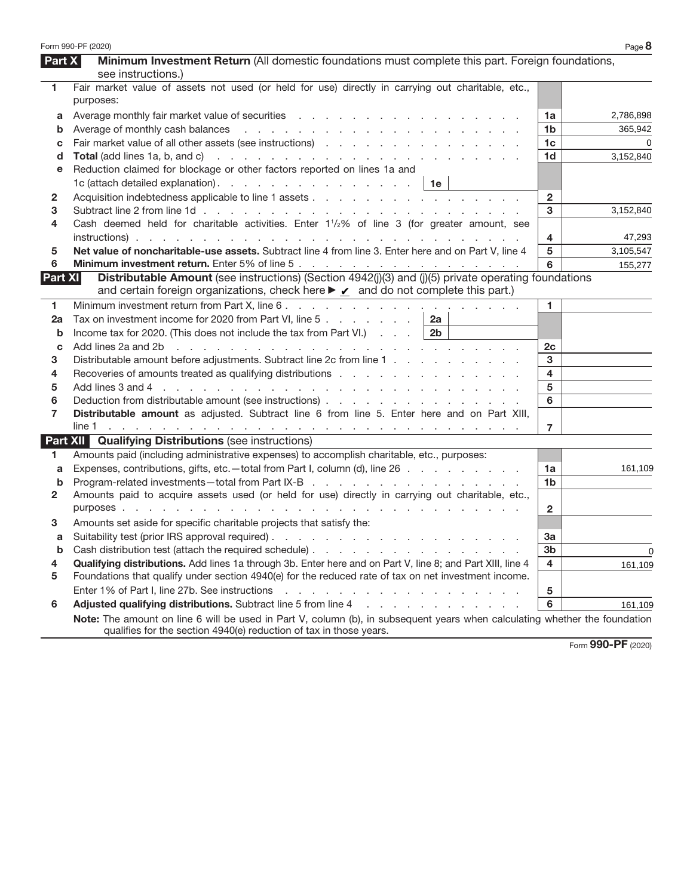|              | Form 990-PF (2020)                                                                                                                                                                                                             |                | Page 8    |
|--------------|--------------------------------------------------------------------------------------------------------------------------------------------------------------------------------------------------------------------------------|----------------|-----------|
| Part X       | Minimum Investment Return (All domestic foundations must complete this part. Foreign foundations,                                                                                                                              |                |           |
|              | see instructions.)                                                                                                                                                                                                             |                |           |
| 1            | Fair market value of assets not used (or held for use) directly in carrying out charitable, etc.,<br>purposes:                                                                                                                 |                |           |
| а            |                                                                                                                                                                                                                                | 1a             | 2,786,898 |
| b            |                                                                                                                                                                                                                                | 1 <sub>b</sub> | 365,942   |
| С            |                                                                                                                                                                                                                                | 1 <sub>c</sub> | $\Omega$  |
| d            |                                                                                                                                                                                                                                | 1 <sub>d</sub> | 3,152,840 |
| е            | Reduction claimed for blockage or other factors reported on lines 1a and                                                                                                                                                       |                |           |
|              | 1c (attach detailed explanation).   1e                                                                                                                                                                                         |                |           |
| $\mathbf{2}$ |                                                                                                                                                                                                                                | $\overline{2}$ |           |
| 3            |                                                                                                                                                                                                                                | 3              | 3,152,840 |
| 4            | Cash deemed held for charitable activities. Enter $1\frac{1}{2}\%$ of line 3 (for greater amount, see                                                                                                                          |                |           |
|              |                                                                                                                                                                                                                                | 4              | 47,293    |
| 5            | Net value of noncharitable-use assets. Subtract line 4 from line 3. Enter here and on Part V, line 4                                                                                                                           | 5              | 3,105,547 |
| 6            |                                                                                                                                                                                                                                | 6              | 155,277   |
| Part XI      | Distributable Amount (see instructions) (Section 4942(j)(3) and (j)(5) private operating foundations<br>and certain foreign organizations, check here ► √ and do not complete this part.)                                      |                |           |
| 1            |                                                                                                                                                                                                                                | 1.             |           |
| 2a           | Tax on investment income for 2020 from Part VI, line 5<br>2a                                                                                                                                                                   |                |           |
| b            | Income tax for 2020. (This does not include the tax from Part VI.) $\ldots$   2b                                                                                                                                               |                |           |
| C            | Add lines 2a and 2b r and r and r and r and r and r and r and r and r and r and r and r and r and r and r and r and r and r and r and r and r and r and r and r and r and r and r and r and r and r and r and r and r and r an | 2c             |           |
| 3            | Distributable amount before adjustments. Subtract line 2c from line 1                                                                                                                                                          | 3              |           |
| 4            |                                                                                                                                                                                                                                | 4              |           |
| 5            |                                                                                                                                                                                                                                | 5              |           |
| 6            |                                                                                                                                                                                                                                | 6              |           |
| 7            | Distributable amount as adjusted. Subtract line 6 from line 5. Enter here and on Part XIII,                                                                                                                                    |                |           |
|              |                                                                                                                                                                                                                                | $\overline{7}$ |           |
|              | <b>Part XII Qualifying Distributions (see instructions)</b>                                                                                                                                                                    |                |           |
| 1.           | Amounts paid (including administrative expenses) to accomplish charitable, etc., purposes:                                                                                                                                     |                |           |
| a            | Expenses, contributions, gifts, etc.—total from Part I, column (d), line 26                                                                                                                                                    | 1a             | 161,109   |
| b            | Program-related investments-total from Part IX-B                                                                                                                                                                               | 1 <sub>b</sub> |           |
| $\mathbf{2}$ | Amounts paid to acquire assets used (or held for use) directly in carrying out charitable, etc.,                                                                                                                               |                |           |
|              |                                                                                                                                                                                                                                | $\mathbf{2}$   |           |
| 3            | Amounts set aside for specific charitable projects that satisfy the:                                                                                                                                                           |                |           |
|              |                                                                                                                                                                                                                                | За             |           |
|              | <b>b</b> Cash distribution test (attach the required schedule)                                                                                                                                                                 | 3 <sub>b</sub> | 0         |
| 4            | Qualifying distributions. Add lines 1a through 3b. Enter here and on Part V, line 8; and Part XIII, line 4                                                                                                                     | 4              | 161,109   |
| 5            | Foundations that qualify under section 4940(e) for the reduced rate of tax on net investment income.                                                                                                                           |                |           |
|              |                                                                                                                                                                                                                                | 5              |           |
| 6            | Adjusted qualifying distributions. Subtract line 5 from line 4 manuscript and contact the substitutions of Adjusted Qualitying distributions. Subtract line 5 from line 4                                                      | 6              | 161,109   |
|              | Note: The amount on line 6 will be used in Part V, column (b), in subsequent years when calculating whether the foundation<br>qualifies for the section 4940(e) reduction of tax in those years.                               |                |           |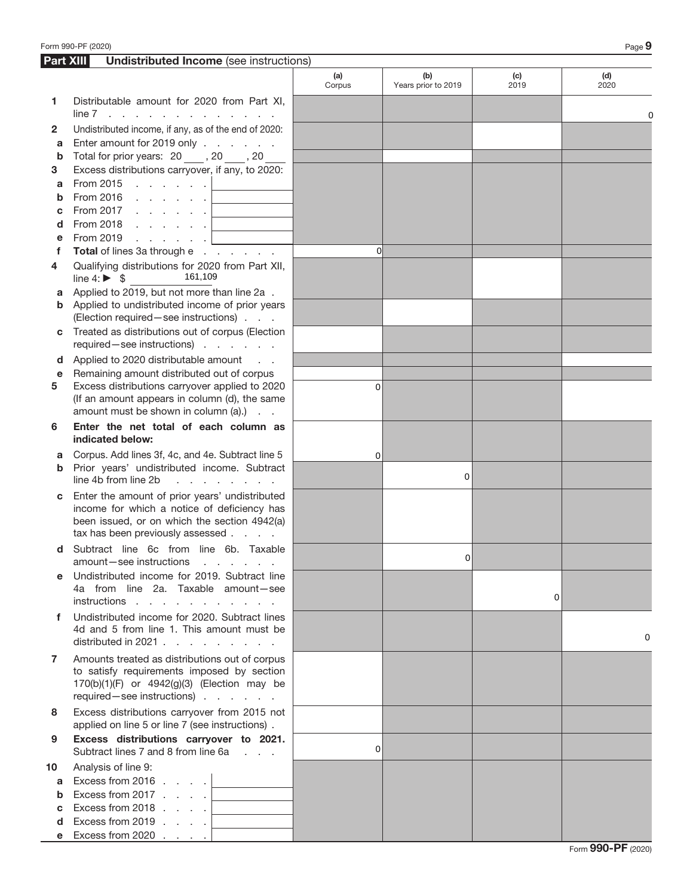|           | Form 990-PF (2020)                                                                                                                                                                |               |                            |             | Page 9      |
|-----------|-----------------------------------------------------------------------------------------------------------------------------------------------------------------------------------|---------------|----------------------------|-------------|-------------|
| Part XIII | <b>Undistributed Income</b> (see instructions)                                                                                                                                    |               |                            |             |             |
|           |                                                                                                                                                                                   | (a)<br>Corpus | (b)<br>Years prior to 2019 | (c)<br>2019 | (d)<br>2020 |
| 1         | Distributable amount for 2020 from Part XI,<br>$line 7$                                                                                                                           |               |                            |             |             |
| 2         | Undistributed income, if any, as of the end of 2020:                                                                                                                              |               |                            |             |             |
| a         | Enter amount for 2019 only                                                                                                                                                        |               |                            |             |             |
| b         | Total for prior years: 20 ____, 20 ____, 20                                                                                                                                       |               |                            |             |             |
| 3         | Excess distributions carryover, if any, to 2020:                                                                                                                                  |               |                            |             |             |
| a         | From 2015 $\ldots$ $\ldots$ $\ldots$                                                                                                                                              |               |                            |             |             |
| b         |                                                                                                                                                                                   |               |                            |             |             |
| С         | From 2017 $\ldots$ $\ldots$ $\ldots$                                                                                                                                              |               |                            |             |             |
| d         | From 2018 $\ldots$ $\ldots$ $\ldots$                                                                                                                                              |               |                            |             |             |
| е         | From 2019 $\ldots$ $\ldots$ $\ldots$                                                                                                                                              | <sup>o</sup>  |                            |             |             |
| f         | Total of lines 3a through e                                                                                                                                                       |               |                            |             |             |
| 4         | Qualifying distributions for 2020 from Part XII,<br>161,109<br>line $4: \triangleright$ \$                                                                                        |               |                            |             |             |
| a         | Applied to 2019, but not more than line 2a.                                                                                                                                       |               |                            |             |             |
| b         | Applied to undistributed income of prior years<br>(Election required - see instructions)                                                                                          |               |                            |             |             |
|           | Treated as distributions out of corpus (Election                                                                                                                                  |               |                            |             |             |
| С         | required-see instructions)                                                                                                                                                        |               |                            |             |             |
| d         | Applied to 2020 distributable amount                                                                                                                                              |               |                            |             |             |
| е         | Remaining amount distributed out of corpus                                                                                                                                        |               |                            |             |             |
| 5         | Excess distributions carryover applied to 2020<br>(If an amount appears in column (d), the same                                                                                   | $\Omega$      |                            |             |             |
|           | amount must be shown in column $(a)$ .) $\ldots$                                                                                                                                  |               |                            |             |             |
| 6         | Enter the net total of each column as<br>indicated below:                                                                                                                         |               |                            |             |             |
| a         | Corpus. Add lines 3f, 4c, and 4e. Subtract line 5                                                                                                                                 | 0             |                            |             |             |
| b         | Prior years' undistributed income. Subtract<br>line 4b from line 2b<br>and a strategic and                                                                                        |               | 0                          |             |             |
| С         | Enter the amount of prior years' undistributed<br>income for which a notice of deficiency has<br>been issued, or on which the section 4942(a)<br>tax has been previously assessed |               |                            |             |             |
| d         | Subtract line 6c from line 6b. Taxable<br>amount-see instructions<br>and the company of the company of                                                                            |               | 0                          |             |             |
| е         | Undistributed income for 2019. Subtract line<br>4a from line 2a. Taxable amount-see<br>instructions                                                                               |               |                            | $\Omega$    |             |
| f         | Undistributed income for 2020. Subtract lines<br>4d and 5 from line 1. This amount must be<br>distributed in 2021 $\ldots$ $\ldots$ $\ldots$ $\ldots$                             |               |                            |             | 0           |
| 7         | Amounts treated as distributions out of corpus<br>to satisfy requirements imposed by section<br>170(b)(1)(F) or 4942(g)(3) (Election may be<br>required - see instructions)       |               |                            |             |             |
| 8         | Excess distributions carryover from 2015 not<br>applied on line 5 or line 7 (see instructions).                                                                                   |               |                            |             |             |
| 9         | Excess distributions carryover to 2021.<br>Subtract lines 7 and 8 from line 6a                                                                                                    | $\Omega$      |                            |             |             |
| 10        | Analysis of line 9:                                                                                                                                                               |               |                            |             |             |
| a         | Excess from 2016 $\ldots$ .                                                                                                                                                       |               |                            |             |             |
| b         | Excess from 2017 $\ldots$ $\Box$                                                                                                                                                  |               |                            |             |             |
| с         | Excess from 2018 $\ldots$ .                                                                                                                                                       |               |                            |             |             |
| d         | Excess from 2019 $\ldots$ $\ldots$                                                                                                                                                |               |                            |             |             |
|           | Excess from 2020 $\ldots$ $\ldots$                                                                                                                                                |               |                            |             |             |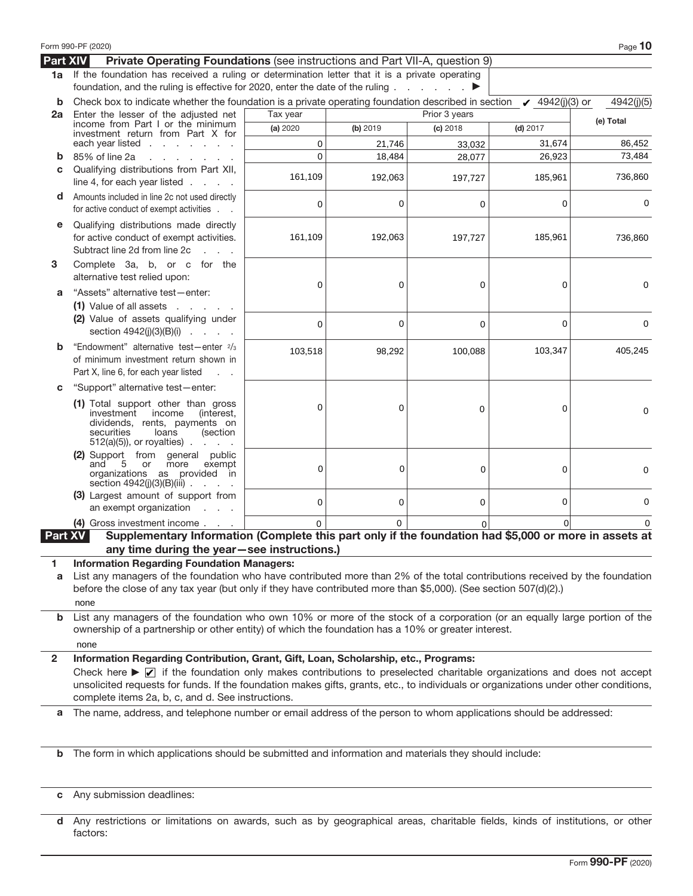|              | Form 990-PF (2020)                                                                                                                                                                                                                                                                                                                                                                                                                             |          |          |               |                        | Page 10     |
|--------------|------------------------------------------------------------------------------------------------------------------------------------------------------------------------------------------------------------------------------------------------------------------------------------------------------------------------------------------------------------------------------------------------------------------------------------------------|----------|----------|---------------|------------------------|-------------|
| Part XIV     | Private Operating Foundations (see instructions and Part VII-A, question 9)                                                                                                                                                                                                                                                                                                                                                                    |          |          |               |                        |             |
| 1a           | If the foundation has received a ruling or determination letter that it is a private operating<br>foundation, and the ruling is effective for 2020, enter the date of the ruling                                                                                                                                                                                                                                                               |          |          | ▶             |                        |             |
| b            | Check box to indicate whether the foundation is a private operating foundation described in section                                                                                                                                                                                                                                                                                                                                            |          |          |               | $\sqrt{4942(j)(3)}$ or | 4942(j)(5)  |
| 2a           | Enter the lesser of the adjusted net                                                                                                                                                                                                                                                                                                                                                                                                           | Tax year |          | Prior 3 years |                        | (e) Total   |
|              | income from Part I or the minimum<br>investment return from Part X for                                                                                                                                                                                                                                                                                                                                                                         | (a) 2020 | (b) 2019 | $(c)$ 2018    | $(d)$ 2017             |             |
|              | each year listed $\ldots$ $\ldots$ $\ldots$                                                                                                                                                                                                                                                                                                                                                                                                    | 0        | 21,746   | 33,032        | 31,674                 | 86,452      |
| b            | 85% of line 2a<br>and a state of the state of the state                                                                                                                                                                                                                                                                                                                                                                                        | $\Omega$ | 18,484   | 28,077        | 26,923                 | 73,484      |
| C            | Qualifying distributions from Part XII,<br>line 4, for each year listed $\ldots$ .                                                                                                                                                                                                                                                                                                                                                             | 161,109  | 192,063  | 197,727       | 185,961                | 736,860     |
| d            | Amounts included in line 2c not used directly<br>for active conduct of exempt activities.                                                                                                                                                                                                                                                                                                                                                      | 0        | 0        | 0             | 0                      | 0           |
| е            | Qualifying distributions made directly<br>for active conduct of exempt activities.<br>Subtract line 2d from line 2c<br>$\mathcal{L} = \mathcal{L} \times \mathcal{L}$                                                                                                                                                                                                                                                                          | 161,109  | 192,063  | 197,727       | 185,961                | 736,860     |
| 3            | Complete 3a, b, or c for the<br>alternative test relied upon:                                                                                                                                                                                                                                                                                                                                                                                  | 0        | 0        | 0             | 0                      | 0           |
| a            | "Assets" alternative test-enter:<br>$(1)$ Value of all assets $\ldots$ .                                                                                                                                                                                                                                                                                                                                                                       |          |          |               |                        |             |
|              | (2) Value of assets qualifying under<br>section $4942(j)(3)(B)(i)$                                                                                                                                                                                                                                                                                                                                                                             | 0        | 0        | $\mathbf 0$   | 0                      | 0           |
| b            | "Endowment" alternative test-enter 2/3<br>of minimum investment return shown in<br>Part X, line 6, for each year listed                                                                                                                                                                                                                                                                                                                        | 103,518  | 98,292   | 100,088       | 103,347                | 405,245     |
| C            | "Support" alternative test-enter:                                                                                                                                                                                                                                                                                                                                                                                                              |          |          |               |                        |             |
|              | (1) Total support other than gross<br>investment<br>income<br>(interest,<br>dividends, rents, payments on<br>securities<br>loans<br>(section<br>$512(a)(5)$ , or royalties).                                                                                                                                                                                                                                                                   | 0        | 0        | 0             | 0                      | 0           |
|              | (2) Support from general public<br>and<br>5<br>or<br>more<br>exempt<br>organizations as provided in<br>section 4942(j)(3)(B)(iii).                                                                                                                                                                                                                                                                                                             | 0        | 0        | 0             | 0                      | 0           |
|              | (3) Largest amount of support from<br>an exempt organization<br><b>Carl Corporation</b>                                                                                                                                                                                                                                                                                                                                                        | 0        | 0        | 0             | 0                      | $\mathbf 0$ |
|              | (4) Gross investment income                                                                                                                                                                                                                                                                                                                                                                                                                    | $\Omega$ | $\Omega$ |               |                        |             |
| Part XV<br>1 | Supplementary Information (Complete this part only if the foundation had \$5,000 or more in assets at<br>any time during the year-see instructions.)<br><b>Information Regarding Foundation Managers:</b>                                                                                                                                                                                                                                      |          |          |               |                        |             |
| a            | List any managers of the foundation who have contributed more than 2% of the total contributions received by the foundation<br>before the close of any tax year (but only if they have contributed more than \$5,000). (See section 507(d)(2).)<br>none                                                                                                                                                                                        |          |          |               |                        |             |
| b            | List any managers of the foundation who own 10% or more of the stock of a corporation (or an equally large portion of the<br>ownership of a partnership or other entity) of which the foundation has a 10% or greater interest.<br>none                                                                                                                                                                                                        |          |          |               |                        |             |
| $\mathbf{2}$ | Information Regarding Contribution, Grant, Gift, Loan, Scholarship, etc., Programs:<br>Check here $\blacktriangleright \sqrt{\phantom{a}}$ if the foundation only makes contributions to preselected charitable organizations and does not accept<br>unsolicited requests for funds. If the foundation makes gifts, grants, etc., to individuals or organizations under other conditions,<br>complete items 2a, b, c, and d. See instructions. |          |          |               |                        |             |
| a            | The name, address, and telephone number or email address of the person to whom applications should be addressed:                                                                                                                                                                                                                                                                                                                               |          |          |               |                        |             |
| $\mathbf b$  | The form in which applications should be submitted and information and materials they should include:                                                                                                                                                                                                                                                                                                                                          |          |          |               |                        |             |
|              | c Any submission deadlines:                                                                                                                                                                                                                                                                                                                                                                                                                    |          |          |               |                        |             |

**d** Any restrictions or limitations on awards, such as by geographical areas, charitable fields, kinds of institutions, or other factors: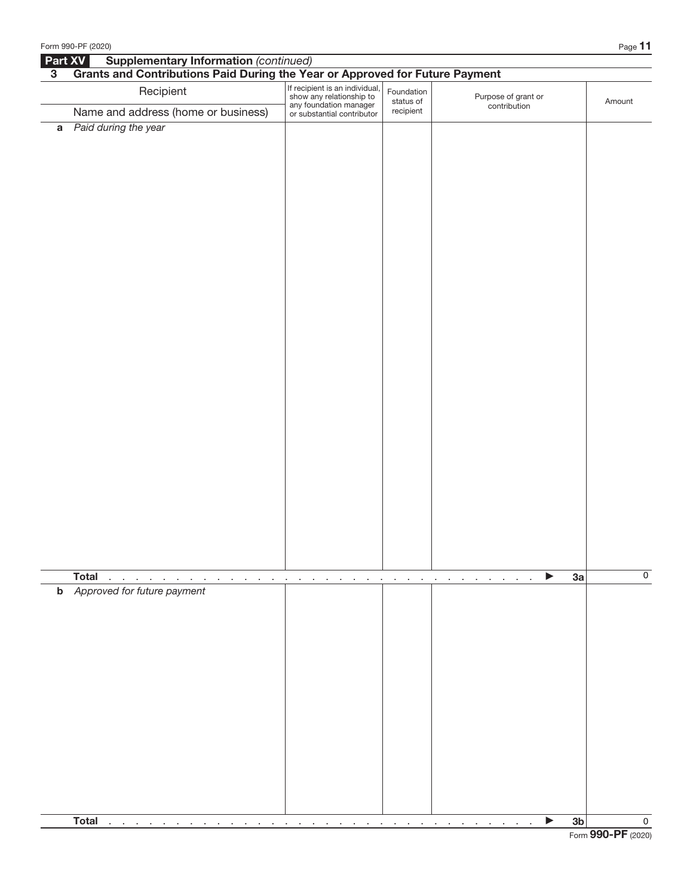|                | Form 990-PF (2020)                                                                                                                               |                                                                                                                    |                                                   |                                     | Page 11                       |
|----------------|--------------------------------------------------------------------------------------------------------------------------------------------------|--------------------------------------------------------------------------------------------------------------------|---------------------------------------------------|-------------------------------------|-------------------------------|
| Part XV        | <b>Supplementary Information (continued)</b>                                                                                                     |                                                                                                                    |                                                   |                                     |                               |
| 3 <sup>1</sup> | Grants and Contributions Paid During the Year or Approved for Future Payment                                                                     |                                                                                                                    |                                                   |                                     |                               |
|                | Recipient                                                                                                                                        | If recipient is an individual,<br>show any relationship to<br>any foundation manager<br>or substantial contributor | Foundation<br>status of<br>recipient              | Purpose of grant or<br>contribution | Amount                        |
|                | Name and address (home or business)                                                                                                              |                                                                                                                    |                                                   |                                     |                               |
|                | a Paid during the year                                                                                                                           |                                                                                                                    |                                                   |                                     |                               |
|                | <b>Total</b><br><b>Service Control</b><br>the control of the control                                                                             | $\sim 100$ km s $^{-1}$<br>$\epsilon$<br>$\sim$ $\sim$<br>$\cdot$<br>$\mathbf{r}$<br>$\cdot$                       | and a strategic and<br>$\cdot$                    | ▶<br>$\sim$<br>$\sim$               | 0<br>3a                       |
|                | <b>b</b> Approved for future payment                                                                                                             |                                                                                                                    |                                                   |                                     |                               |
|                |                                                                                                                                                  |                                                                                                                    |                                                   |                                     |                               |
|                | <b>Total</b><br>$\alpha$ , and $\alpha$ , and $\alpha$ , and $\alpha$<br>$\sim$<br>$\sim$<br>$\sim$ 100 $\sim$<br>$\sim$<br>$\ddot{\phantom{0}}$ | $\sim$<br>$\sim$<br>$\sim$<br>$\sim$<br>$\sim$<br>$\cdot$                                                          | <b>All Adams</b><br>$\cdot$<br>$\cdot$<br>$\cdot$ | the contract of the con-<br>$\sim$  | 3 <sub>b</sub><br>$\mathbf 0$ |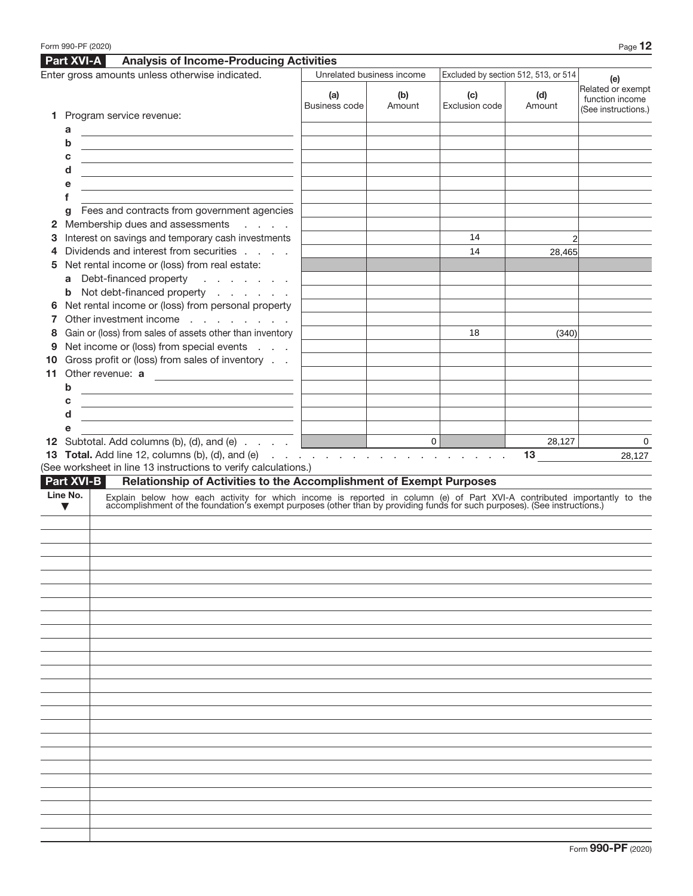|         | Form 990-PF (2020)     |                                                                                                                                                                                                                               |                      |                           |                                      |               | Page 12                                                     |
|---------|------------------------|-------------------------------------------------------------------------------------------------------------------------------------------------------------------------------------------------------------------------------|----------------------|---------------------------|--------------------------------------|---------------|-------------------------------------------------------------|
|         | <b>Part XVI-A</b>      | <b>Analysis of Income-Producing Activities</b>                                                                                                                                                                                |                      |                           |                                      |               |                                                             |
|         |                        | Enter gross amounts unless otherwise indicated.                                                                                                                                                                               |                      | Unrelated business income | Excluded by section 512, 513, or 514 |               | (e)                                                         |
|         |                        |                                                                                                                                                                                                                               | (a)<br>Business code | (b)<br>Amount             | (c)<br>Exclusion code                | (d)<br>Amount | Related or exempt<br>function income<br>(See instructions.) |
| 1.      |                        | Program service revenue:                                                                                                                                                                                                      |                      |                           |                                      |               |                                                             |
|         | a                      |                                                                                                                                                                                                                               |                      |                           |                                      |               |                                                             |
|         | b                      |                                                                                                                                                                                                                               |                      |                           |                                      |               |                                                             |
|         | с                      | <u> 1989 - Johann Barbara, martxa eta batarra (h. 1989).</u>                                                                                                                                                                  |                      |                           |                                      |               |                                                             |
|         | d<br>е                 | the control of the control of the control of the control of the control of the control of                                                                                                                                     |                      |                           |                                      |               |                                                             |
|         | f                      | the control of the control of the control of the control of the control of the control of                                                                                                                                     |                      |                           |                                      |               |                                                             |
|         | g                      | Fees and contracts from government agencies                                                                                                                                                                                   |                      |                           |                                      |               |                                                             |
| 2       |                        | Membership dues and assessments<br><b>Service</b> State                                                                                                                                                                       |                      |                           |                                      |               |                                                             |
| З       |                        | Interest on savings and temporary cash investments                                                                                                                                                                            |                      |                           | 14                                   |               |                                                             |
| 4       |                        | Dividends and interest from securities                                                                                                                                                                                        |                      |                           | 14                                   | 28,465        |                                                             |
| 5       |                        | Net rental income or (loss) from real estate:                                                                                                                                                                                 |                      |                           |                                      |               |                                                             |
|         |                        | a Debt-financed property<br>and the contract of the                                                                                                                                                                           |                      |                           |                                      |               |                                                             |
|         |                        | <b>b</b> Not debt-financed property                                                                                                                                                                                           |                      |                           |                                      |               |                                                             |
| 6       |                        | Net rental income or (loss) from personal property                                                                                                                                                                            |                      |                           |                                      |               |                                                             |
|         |                        | Other investment income                                                                                                                                                                                                       |                      |                           |                                      |               |                                                             |
| 8       |                        | Gain or (loss) from sales of assets other than inventory<br>Net income or (loss) from special events                                                                                                                          |                      |                           | 18                                   | (340)         |                                                             |
| 9<br>10 |                        | Gross profit or (loss) from sales of inventory                                                                                                                                                                                |                      |                           |                                      |               |                                                             |
| 11      |                        | Other revenue: a                                                                                                                                                                                                              |                      |                           |                                      |               |                                                             |
|         | b                      | the control of the control of the control of the control of the control of                                                                                                                                                    |                      |                           |                                      |               |                                                             |
|         | с                      | <u> 1980 - Johann Barn, fransk politik (d. 1980)</u>                                                                                                                                                                          |                      |                           |                                      |               |                                                             |
|         | d                      | <u> 1989 - Johann Stein, marwolaethau a bhann an t-Amhainn an t-Amhainn an t-Amhainn an t-Amhainn an t-Amhainn a</u>                                                                                                          |                      |                           |                                      |               |                                                             |
|         | е                      |                                                                                                                                                                                                                               |                      |                           |                                      |               |                                                             |
|         |                        | 12 Subtotal. Add columns (b), (d), and (e)<br>13 Total. Add line 12, columns (b), (d), and (e)<br>19 Total. Add line 12, columns (b), (d), and (e)                                                                            |                      |                           |                                      | 28,127        | 0                                                           |
|         |                        |                                                                                                                                                                                                                               |                      |                           |                                      | 13            | 28,127                                                      |
|         |                        | (See worksheet in line 13 instructions to verify calculations.)                                                                                                                                                               |                      |                           |                                      |               |                                                             |
|         | Part XVI-B<br>Line No. | Relationship of Activities to the Accomplishment of Exempt Purposes                                                                                                                                                           |                      |                           |                                      |               |                                                             |
|         | $\blacktriangledown$   | Explain below how each activity for which income is reported in column (e) of Part XVI-A contributed importantly to the accomplishment of the foundation's exempt purposes (other than by providing funds for such purposes). |                      |                           |                                      |               |                                                             |
|         |                        |                                                                                                                                                                                                                               |                      |                           |                                      |               |                                                             |
|         |                        |                                                                                                                                                                                                                               |                      |                           |                                      |               |                                                             |
|         |                        |                                                                                                                                                                                                                               |                      |                           |                                      |               |                                                             |
|         |                        |                                                                                                                                                                                                                               |                      |                           |                                      |               |                                                             |
|         |                        |                                                                                                                                                                                                                               |                      |                           |                                      |               |                                                             |
|         |                        |                                                                                                                                                                                                                               |                      |                           |                                      |               |                                                             |
|         |                        |                                                                                                                                                                                                                               |                      |                           |                                      |               |                                                             |
|         |                        |                                                                                                                                                                                                                               |                      |                           |                                      |               |                                                             |
|         |                        |                                                                                                                                                                                                                               |                      |                           |                                      |               |                                                             |
|         |                        |                                                                                                                                                                                                                               |                      |                           |                                      |               |                                                             |
|         |                        |                                                                                                                                                                                                                               |                      |                           |                                      |               |                                                             |
|         |                        |                                                                                                                                                                                                                               |                      |                           |                                      |               |                                                             |
|         |                        |                                                                                                                                                                                                                               |                      |                           |                                      |               |                                                             |
|         |                        |                                                                                                                                                                                                                               |                      |                           |                                      |               |                                                             |
|         |                        |                                                                                                                                                                                                                               |                      |                           |                                      |               |                                                             |
|         |                        |                                                                                                                                                                                                                               |                      |                           |                                      |               |                                                             |
|         |                        |                                                                                                                                                                                                                               |                      |                           |                                      |               |                                                             |
|         |                        |                                                                                                                                                                                                                               |                      |                           |                                      |               |                                                             |
|         |                        |                                                                                                                                                                                                                               |                      |                           |                                      |               |                                                             |
|         |                        |                                                                                                                                                                                                                               |                      |                           |                                      |               |                                                             |
|         |                        |                                                                                                                                                                                                                               |                      |                           |                                      |               |                                                             |
|         |                        |                                                                                                                                                                                                                               |                      |                           |                                      |               |                                                             |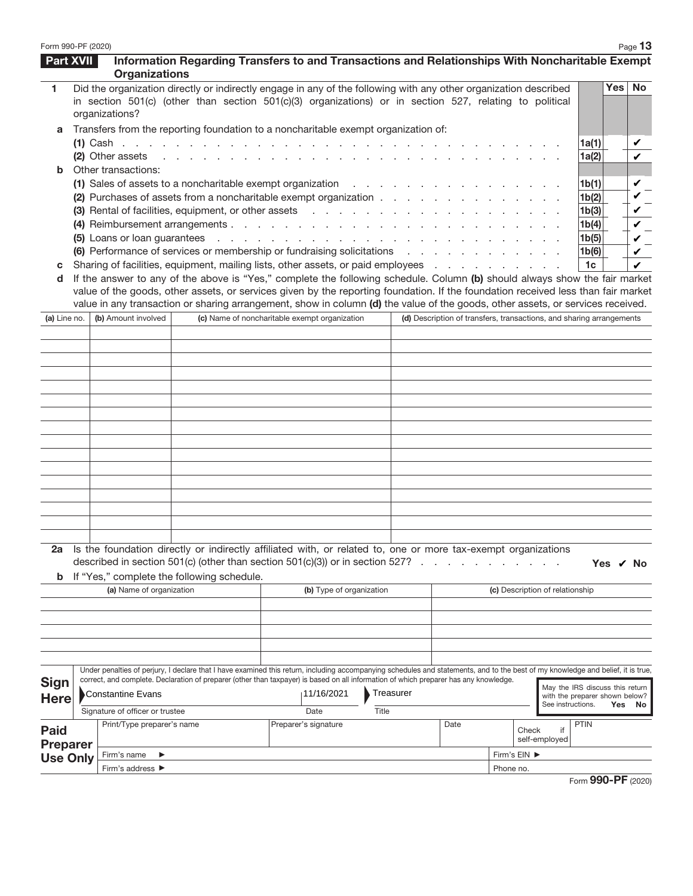| Form 990-PF (2020) |                                      |                                                                                                                                                                                                                             |                                                                 |                        |                                                                      |                                 |                   |                                          |     | Page 13          |
|--------------------|--------------------------------------|-----------------------------------------------------------------------------------------------------------------------------------------------------------------------------------------------------------------------------|-----------------------------------------------------------------|------------------------|----------------------------------------------------------------------|---------------------------------|-------------------|------------------------------------------|-----|------------------|
| <b>Part XVII</b>   | <b>Organizations</b>                 | Information Regarding Transfers to and Transactions and Relationships With Noncharitable Exempt                                                                                                                             |                                                                 |                        |                                                                      |                                 |                   |                                          |     |                  |
| 1.                 | organizations?                       | Did the organization directly or indirectly engage in any of the following with any other organization described<br>in section 501(c) (other than section 501(c)(3) organizations) or in section 527, relating to political |                                                                 |                        |                                                                      |                                 |                   |                                          | Yes | <b>No</b>        |
| a                  |                                      | Transfers from the reporting foundation to a noncharitable exempt organization of:                                                                                                                                          |                                                                 |                        |                                                                      |                                 |                   |                                          |     |                  |
|                    |                                      |                                                                                                                                                                                                                             |                                                                 |                        |                                                                      |                                 |                   | 1a(1)                                    |     | v                |
|                    | (2) Other assets                     |                                                                                                                                                                                                                             | and a series of the contract of the contract of the contract of |                        |                                                                      |                                 |                   | 1a(2)                                    |     | v                |
| b                  | Other transactions:                  |                                                                                                                                                                                                                             |                                                                 |                        |                                                                      |                                 |                   |                                          |     |                  |
|                    |                                      | (1) Sales of assets to a noncharitable exempt organization<br>(2) Purchases of assets from a noncharitable exempt organization                                                                                              |                                                                 | and the company of the |                                                                      |                                 |                   | 1 <sub>b</sub> (1)<br>1 <sub>b</sub> (2) |     | $\checkmark$     |
|                    |                                      | (3) Rental of facilities, equipment, or other assets                                                                                                                                                                        |                                                                 |                        |                                                                      |                                 |                   | 1b(3)                                    |     | v<br>✓           |
|                    |                                      | (4) Reimbursement arrangements                                                                                                                                                                                              |                                                                 |                        |                                                                      |                                 |                   | 1b(4)                                    |     | $\mathbf{v}_{-}$ |
|                    |                                      |                                                                                                                                                                                                                             |                                                                 |                        |                                                                      |                                 |                   | 1b(5)                                    |     | $\checkmark$     |
|                    |                                      | (6) Performance of services or membership or fundraising solicitations                                                                                                                                                      |                                                                 |                        |                                                                      |                                 |                   | 1b(6)                                    |     | v                |
| C                  |                                      | Sharing of facilities, equipment, mailing lists, other assets, or paid employees                                                                                                                                            |                                                                 |                        |                                                                      |                                 |                   | 1 <sub>c</sub>                           |     | ✓                |
| d                  |                                      | If the answer to any of the above is "Yes," complete the following schedule. Column (b) should always show the fair market                                                                                                  |                                                                 |                        |                                                                      |                                 |                   |                                          |     |                  |
|                    |                                      | value of the goods, other assets, or services given by the reporting foundation. If the foundation received less than fair market                                                                                           |                                                                 |                        |                                                                      |                                 |                   |                                          |     |                  |
| (a) Line no.       | (b) Amount involved                  | value in any transaction or sharing arrangement, show in column (d) the value of the goods, other assets, or services received.<br>(c) Name of noncharitable exempt organization                                            |                                                                 |                        | (d) Description of transfers, transactions, and sharing arrangements |                                 |                   |                                          |     |                  |
|                    |                                      |                                                                                                                                                                                                                             |                                                                 |                        |                                                                      |                                 |                   |                                          |     |                  |
|                    |                                      |                                                                                                                                                                                                                             |                                                                 |                        |                                                                      |                                 |                   |                                          |     |                  |
|                    |                                      |                                                                                                                                                                                                                             |                                                                 |                        |                                                                      |                                 |                   |                                          |     |                  |
|                    |                                      |                                                                                                                                                                                                                             |                                                                 |                        |                                                                      |                                 |                   |                                          |     |                  |
|                    |                                      |                                                                                                                                                                                                                             |                                                                 |                        |                                                                      |                                 |                   |                                          |     |                  |
|                    |                                      |                                                                                                                                                                                                                             |                                                                 |                        |                                                                      |                                 |                   |                                          |     |                  |
|                    |                                      |                                                                                                                                                                                                                             |                                                                 |                        |                                                                      |                                 |                   |                                          |     |                  |
|                    |                                      |                                                                                                                                                                                                                             |                                                                 |                        |                                                                      |                                 |                   |                                          |     |                  |
|                    |                                      |                                                                                                                                                                                                                             |                                                                 |                        |                                                                      |                                 |                   |                                          |     |                  |
|                    |                                      |                                                                                                                                                                                                                             |                                                                 |                        |                                                                      |                                 |                   |                                          |     |                  |
|                    |                                      |                                                                                                                                                                                                                             |                                                                 |                        |                                                                      |                                 |                   |                                          |     |                  |
|                    |                                      |                                                                                                                                                                                                                             |                                                                 |                        |                                                                      |                                 |                   |                                          |     |                  |
|                    |                                      |                                                                                                                                                                                                                             |                                                                 |                        |                                                                      |                                 |                   |                                          |     |                  |
|                    |                                      |                                                                                                                                                                                                                             |                                                                 |                        |                                                                      |                                 |                   |                                          |     |                  |
|                    |                                      |                                                                                                                                                                                                                             |                                                                 |                        |                                                                      |                                 |                   |                                          |     |                  |
|                    |                                      | 2a Is the foundation directly or indirectly affiliated with, or related to, one or more tax-exempt organizations<br>described in section 501(c) (other than section $501(c)(3)$ ) or in section 527? $\ldots$               |                                                                 |                        |                                                                      |                                 |                   | Yes / No                                 |     |                  |
| b                  |                                      | If "Yes," complete the following schedule.                                                                                                                                                                                  |                                                                 |                        |                                                                      |                                 |                   |                                          |     |                  |
|                    | (a) Name of organization             |                                                                                                                                                                                                                             | (b) Type of organization                                        |                        |                                                                      | (c) Description of relationship |                   |                                          |     |                  |
|                    |                                      |                                                                                                                                                                                                                             |                                                                 |                        |                                                                      |                                 |                   |                                          |     |                  |
|                    |                                      |                                                                                                                                                                                                                             |                                                                 |                        |                                                                      |                                 |                   |                                          |     |                  |
|                    |                                      |                                                                                                                                                                                                                             |                                                                 |                        |                                                                      |                                 |                   |                                          |     |                  |
|                    |                                      |                                                                                                                                                                                                                             |                                                                 |                        |                                                                      |                                 |                   |                                          |     |                  |
|                    |                                      | Under penalties of perjury, I declare that I have examined this return, including accompanying schedules and statements, and to the best of my knowledge and belief, it is true,                                            |                                                                 |                        |                                                                      |                                 |                   |                                          |     |                  |
| <b>Sign</b>        | Constantine Evans                    | correct, and complete. Declaration of preparer (other than taxpayer) is based on all information of which preparer has any knowledge.                                                                                       | 11/16/2021                                                      | Treasurer              |                                                                      |                                 |                   | May the IRS discuss this return          |     |                  |
| <b>Here</b>        |                                      |                                                                                                                                                                                                                             |                                                                 |                        |                                                                      |                                 | See instructions. | with the preparer shown below?           | Yes | No               |
|                    | Signature of officer or trustee      |                                                                                                                                                                                                                             | Date                                                            | Title                  |                                                                      |                                 |                   |                                          |     |                  |
| <b>Paid</b>        | Print/Type preparer's name           |                                                                                                                                                                                                                             | Preparer's signature                                            |                        | Date                                                                 | Check                           | if                | <b>PTIN</b>                              |     |                  |
| <b>Preparer</b>    |                                      |                                                                                                                                                                                                                             |                                                                 |                        |                                                                      |                                 | self-employed     |                                          |     |                  |
| <b>Use Only</b>    | Firm's name<br>▶<br>Firm's address ▶ |                                                                                                                                                                                                                             |                                                                 |                        | Firm's EIN ▶<br>Phone no.                                            |                                 |                   |                                          |     |                  |
|                    |                                      |                                                                                                                                                                                                                             |                                                                 |                        |                                                                      |                                 |                   |                                          |     |                  |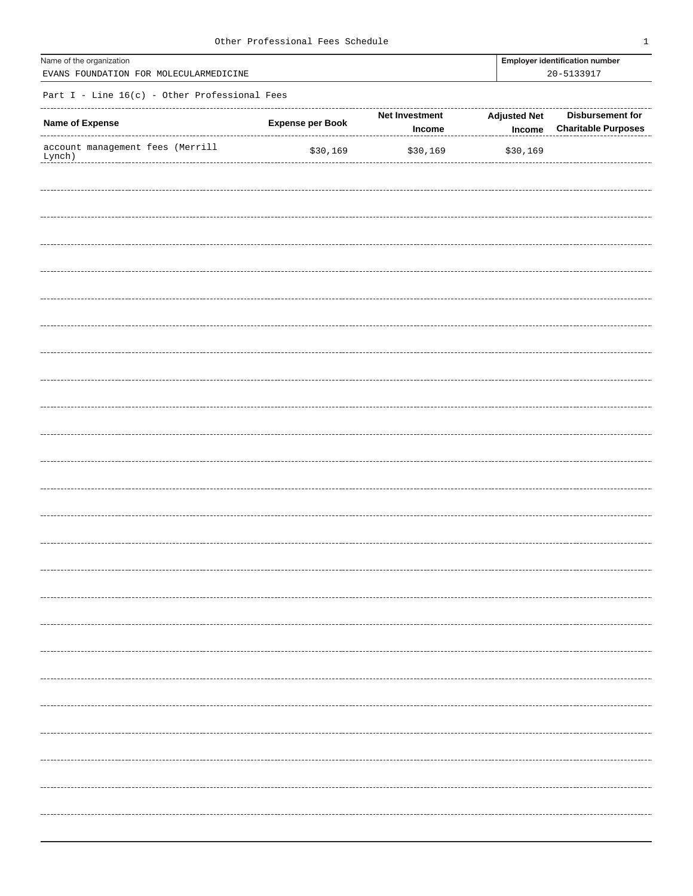| Name of the organization<br>EVANS FOUNDATION FOR MOLECULARMEDICINE |                         |                                 |                               | <b>Employer identification number</b><br>20-5133917 |  |  |
|--------------------------------------------------------------------|-------------------------|---------------------------------|-------------------------------|-----------------------------------------------------|--|--|
| Part I - Line $16(c)$ - Other Professional Fees                    |                         |                                 |                               |                                                     |  |  |
| Name of Expense                                                    | <b>Expense per Book</b> | <b>Net Investment</b><br>Income | <b>Adjusted Net</b><br>Income | Disbursement for<br><b>Charitable Purposes</b>      |  |  |
| account management fees (Merrill<br>Lynch)                         | \$30,169                | \$30,169                        | \$30,169                      |                                                     |  |  |
|                                                                    |                         |                                 |                               |                                                     |  |  |
|                                                                    |                         |                                 |                               |                                                     |  |  |
|                                                                    |                         |                                 |                               |                                                     |  |  |
|                                                                    |                         |                                 |                               |                                                     |  |  |
|                                                                    |                         |                                 |                               |                                                     |  |  |
|                                                                    |                         |                                 |                               |                                                     |  |  |
|                                                                    |                         |                                 |                               |                                                     |  |  |
|                                                                    |                         |                                 |                               |                                                     |  |  |
|                                                                    |                         |                                 |                               |                                                     |  |  |
|                                                                    |                         |                                 |                               |                                                     |  |  |
|                                                                    |                         |                                 |                               |                                                     |  |  |
|                                                                    |                         |                                 |                               |                                                     |  |  |
|                                                                    |                         |                                 |                               |                                                     |  |  |
|                                                                    |                         |                                 |                               |                                                     |  |  |
|                                                                    |                         |                                 |                               |                                                     |  |  |
|                                                                    |                         |                                 |                               |                                                     |  |  |
|                                                                    |                         |                                 |                               |                                                     |  |  |
|                                                                    |                         |                                 |                               |                                                     |  |  |
|                                                                    |                         |                                 |                               |                                                     |  |  |
|                                                                    |                         |                                 |                               |                                                     |  |  |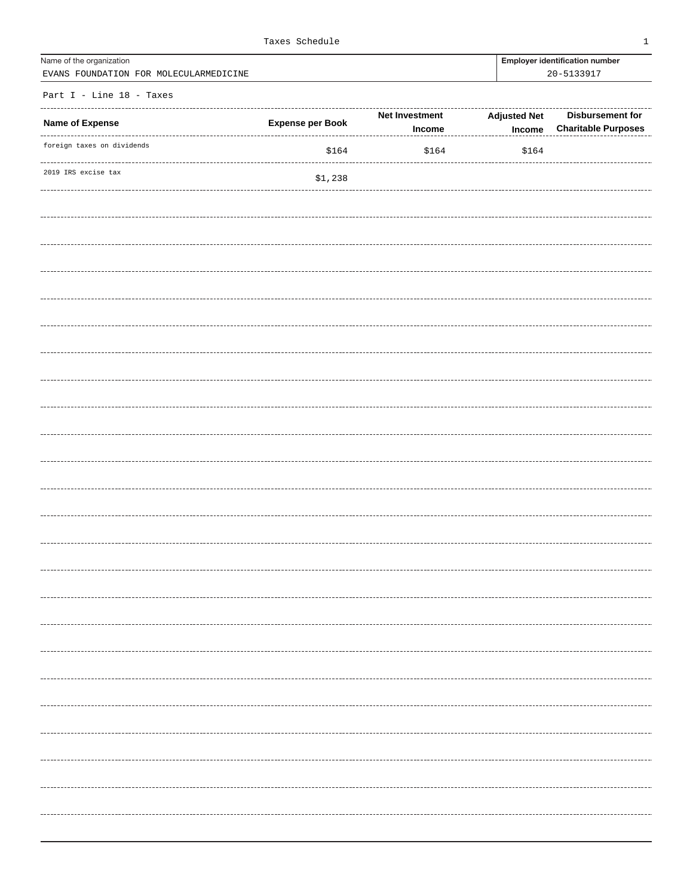| Name of the organization               | <b>Emplover identification nu</b> |
|----------------------------------------|-----------------------------------|
| EVANS FOUNDATION FOR MOLECULARMEDICINE | 20-5133917                        |

Employer identification number

Part I - Line 18 - Taxes

| Name of Expense<br>------  | <b>Expense per Book</b> | Net Investment<br>Income | <b>Adjusted Net</b><br>$Income$ | Disbursement for<br><b>Charitable Purposes</b> |
|----------------------------|-------------------------|--------------------------|---------------------------------|------------------------------------------------|
| foreign taxes on dividends | \$164                   | \$164                    | \$164                           |                                                |
| 2019 IRS excise tax        | \$1,238                 |                          |                                 |                                                |
|                            |                         |                          |                                 |                                                |
|                            |                         |                          |                                 |                                                |
|                            |                         |                          |                                 |                                                |
|                            |                         |                          |                                 |                                                |
|                            |                         |                          |                                 |                                                |
|                            |                         |                          |                                 |                                                |
|                            |                         |                          |                                 |                                                |
|                            |                         |                          |                                 |                                                |
|                            |                         |                          |                                 |                                                |
|                            |                         |                          |                                 |                                                |
|                            |                         |                          |                                 |                                                |
|                            |                         |                          |                                 |                                                |
|                            |                         |                          |                                 |                                                |
|                            |                         |                          |                                 |                                                |
|                            |                         |                          |                                 |                                                |
|                            |                         |                          |                                 |                                                |
|                            |                         |                          |                                 |                                                |
|                            |                         |                          |                                 |                                                |
|                            |                         |                          |                                 |                                                |
|                            |                         |                          |                                 |                                                |
|                            |                         |                          |                                 |                                                |
|                            |                         |                          |                                 |                                                |
|                            |                         |                          |                                 |                                                |
|                            |                         |                          |                                 |                                                |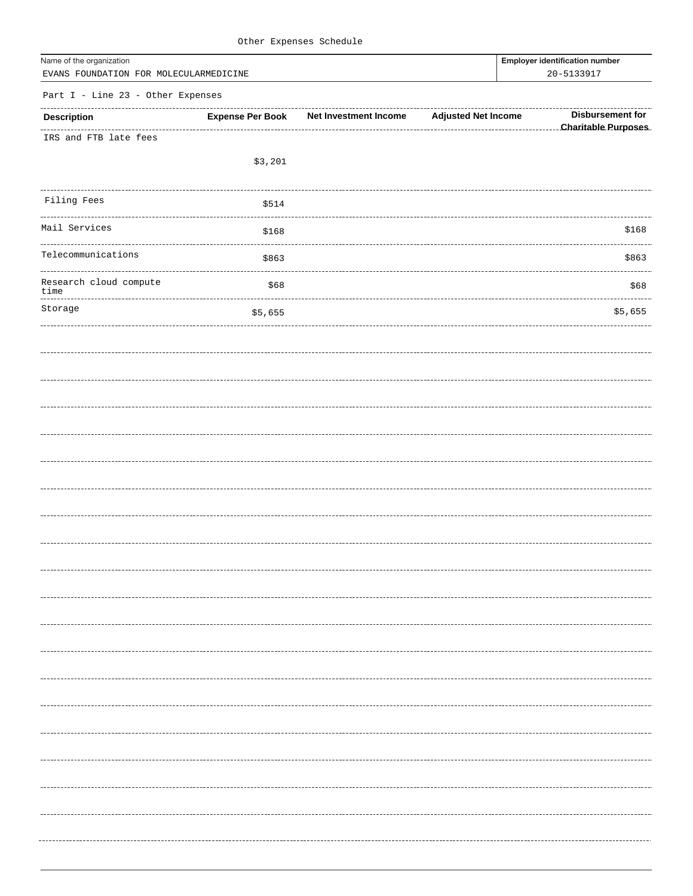| Name of the organization<br>EVANS FOUNDATION FOR MOLECULARMEDICINE |                         |                              |                            | <b>Employer identification number</b><br>20-5133917 |
|--------------------------------------------------------------------|-------------------------|------------------------------|----------------------------|-----------------------------------------------------|
| Part I - Line 23 - Other Expenses                                  |                         |                              |                            |                                                     |
| <b>Description</b>                                                 | <b>Expense Per Book</b> | <b>Net Investment Income</b> | <b>Adjusted Net Income</b> | <b>Disbursement for</b>                             |
| IRS and FTB late fees                                              |                         |                              |                            | <b>Charitable Purposes</b>                          |
|                                                                    | \$3,201                 |                              |                            |                                                     |
| Filing Fees                                                        | \$514                   |                              |                            |                                                     |
| Mail Services                                                      | \$168                   |                              |                            | \$168                                               |
| Telecommunications                                                 | \$863                   |                              |                            | \$863                                               |
| Research cloud compute<br>time                                     | \$68                    |                              |                            | \$68                                                |
| Storage                                                            | \$5,655                 |                              |                            | \$5,655                                             |
|                                                                    |                         |                              |                            |                                                     |
|                                                                    |                         |                              |                            |                                                     |
|                                                                    |                         |                              |                            |                                                     |
|                                                                    |                         |                              |                            |                                                     |
|                                                                    |                         |                              |                            |                                                     |
|                                                                    |                         |                              |                            |                                                     |
|                                                                    |                         |                              |                            |                                                     |
|                                                                    |                         |                              |                            |                                                     |
|                                                                    |                         |                              |                            |                                                     |
|                                                                    |                         |                              |                            |                                                     |
|                                                                    |                         |                              |                            |                                                     |
|                                                                    |                         |                              |                            |                                                     |
|                                                                    |                         |                              |                            |                                                     |
|                                                                    |                         |                              |                            |                                                     |
|                                                                    |                         |                              |                            |                                                     |
|                                                                    |                         |                              |                            |                                                     |
|                                                                    |                         |                              |                            | ---------------------                               |
|                                                                    |                         |                              |                            |                                                     |
|                                                                    |                         |                              |                            |                                                     |
|                                                                    |                         |                              |                            |                                                     |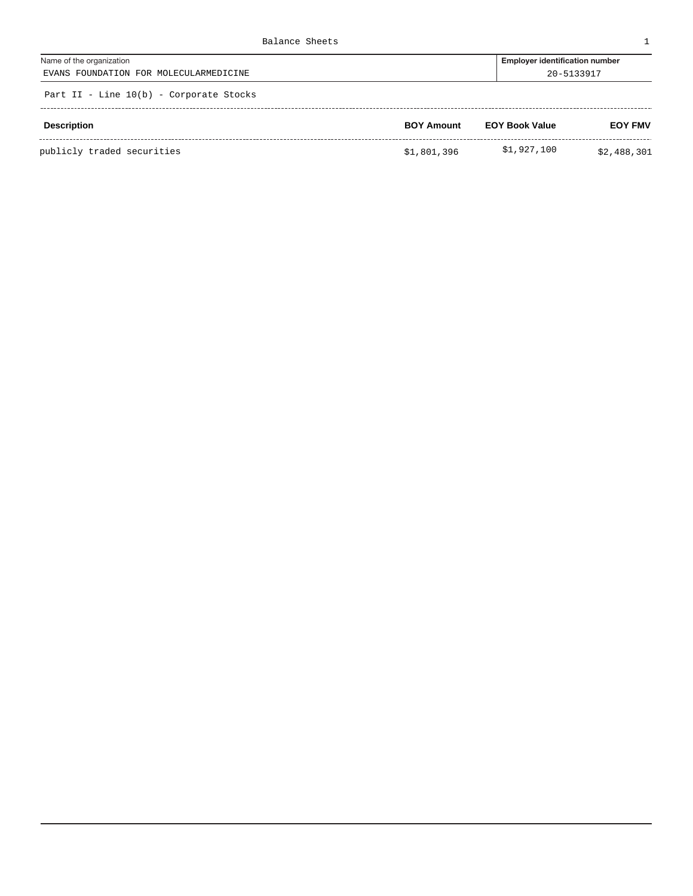| Balance Sheets                            |                                       |
|-------------------------------------------|---------------------------------------|
| Name of the organization                  | <b>Employer identification number</b> |
| EVANS FOUNDATION FOR MOLECULARMEDICINE    | 20-5133917                            |
| Part II - Line $10(b)$ - Corporate Stocks |                                       |

| <b>Description</b>         | <b>BOY Amount</b> | <b>EOY Book Value</b> | <b>EOY FMV</b> |
|----------------------------|-------------------|-----------------------|----------------|
| publicly traded securities | \$1,801,396       | \$1,927,100           | \$2,488,301    |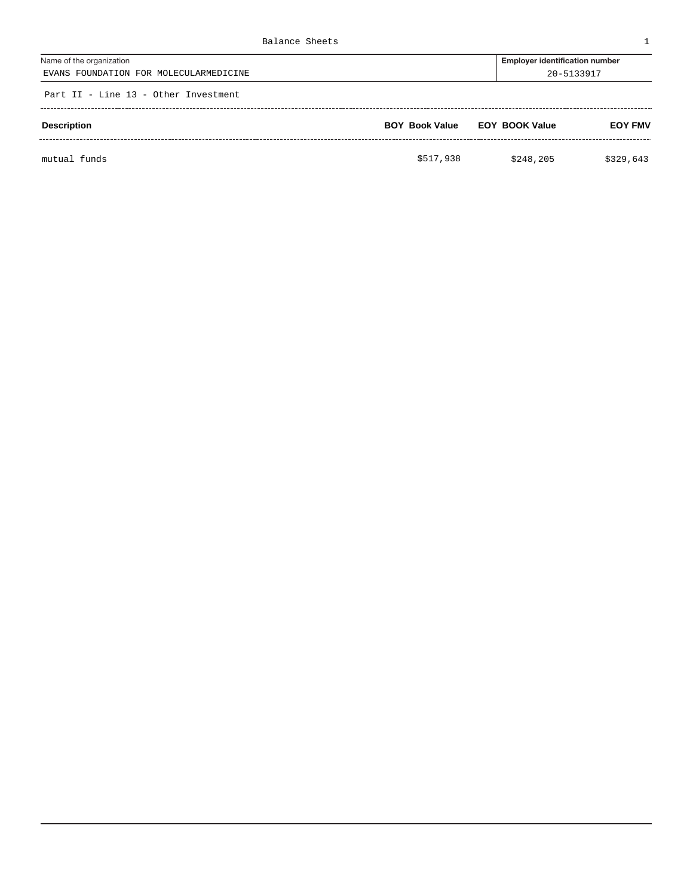| Balance Sheets                                                     |                                                     |                |
|--------------------------------------------------------------------|-----------------------------------------------------|----------------|
| Name of the organization<br>EVANS FOUNDATION FOR MOLECULARMEDICINE | <b>Employer identification number</b><br>20-5133917 |                |
| Part II - Line 13 - Other Investment                               |                                                     |                |
| <b>Description</b>                                                 | <b>BOY Book Value EOY BOOK Value</b>                | <b>EOY FMV</b> |
|                                                                    |                                                     |                |

mutual funds \$329,643 \$248,205 \$329,643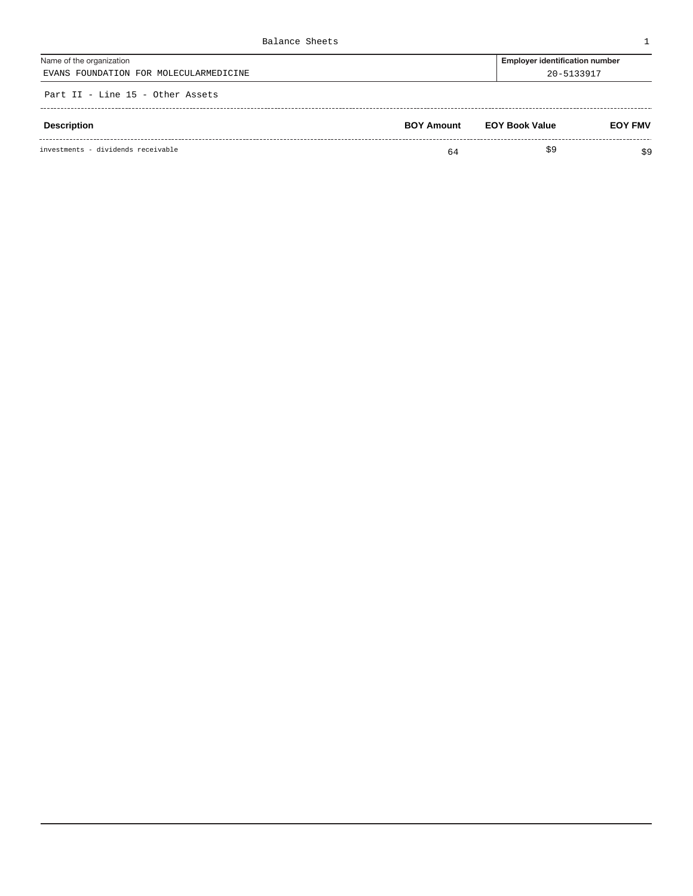| Balance Sheets                         |                                       |
|----------------------------------------|---------------------------------------|
| Name of the organization               | <b>Employer identification number</b> |
| EVANS FOUNDATION FOR MOLECULARMEDICINE | 20-5133917                            |
| Part II - Line 15 - Other Assets       |                                       |

| Description                        | <b>BOY Amount</b> | <b>EOY Book Value</b> | <b>EOY FMV</b> |
|------------------------------------|-------------------|-----------------------|----------------|
| investments - dividends receivable | 64                | S9                    | \$9            |